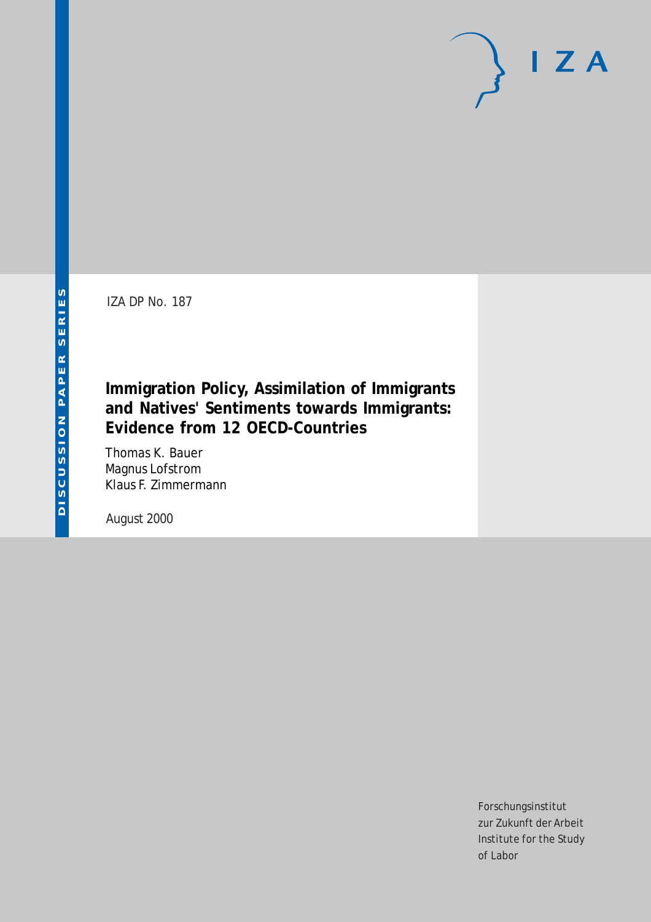IZA DP No. 187

## **Immigration Policy, Assimilation of Immigrants and Natives' Sentiments towards Immigrants: Evidence from 12 OECD-Countries**

Thomas K. Bauer Magnus Lofstrom Klaus F. Zimmermann

August 2000

Forschungsinstitut zur Zukunft der Arbeit Institute for the Study of Labor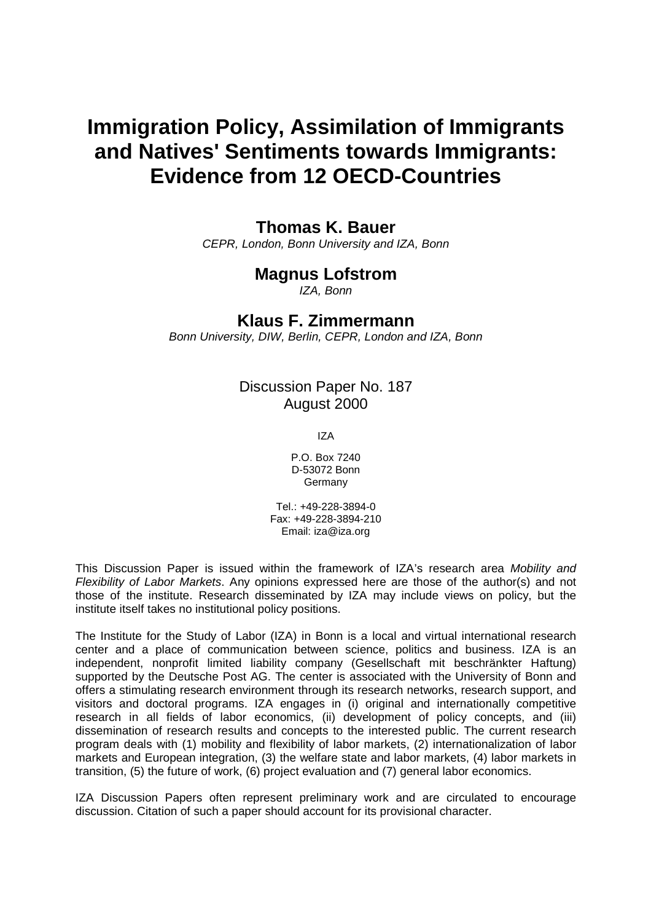# **Immigration Policy, Assimilation of Immigrants and Natives' Sentiments towards Immigrants: Evidence from 12 OECD-Countries**

### **Thomas K. Bauer**

*CEPR, London, Bonn University and IZA, Bonn* 

## **Magnus Lofstrom**

*IZA, Bonn* 

## **Klaus F. Zimmermann**

*Bonn University, DIW, Berlin, CEPR, London and IZA, Bonn* 

Discussion Paper No. 187 August 2000

IZA

P.O. Box 7240 D-53072 Bonn Germany

Tel.: +49-228-3894-0 Fax: +49-228-3894-210 Email: iza@iza.org

This Discussion Paper is issued within the framework of IZA's research area *Mobility and Flexibility of Labor Markets*. Any opinions expressed here are those of the author(s) and not those of the institute. Research disseminated by IZA may include views on policy, but the institute itself takes no institutional policy positions.

The Institute for the Study of Labor (IZA) in Bonn is a local and virtual international research center and a place of communication between science, politics and business. IZA is an independent, nonprofit limited liability company (Gesellschaft mit beschränkter Haftung) supported by the Deutsche Post AG. The center is associated with the University of Bonn and offers a stimulating research environment through its research networks, research support, and visitors and doctoral programs. IZA engages in (i) original and internationally competitive research in all fields of labor economics, (ii) development of policy concepts, and (iii) dissemination of research results and concepts to the interested public. The current research program deals with (1) mobility and flexibility of labor markets, (2) internationalization of labor markets and European integration, (3) the welfare state and labor markets, (4) labor markets in transition, (5) the future of work, (6) project evaluation and (7) general labor economics.

IZA Discussion Papers often represent preliminary work and are circulated to encourage discussion. Citation of such a paper should account for its provisional character.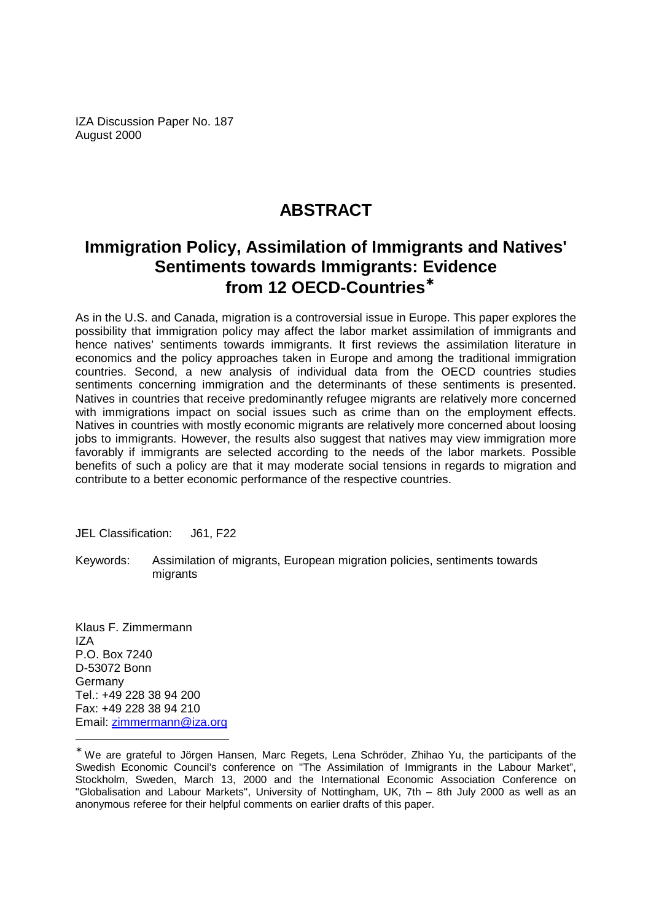IZA Discussion Paper No. 187 August 2000

# **ABSTRACT**

# **Immigration Policy, Assimilation of Immigrants and Natives' Sentiments towards Immigrants: Evidence from 12 OECD-Countries**<sup>∗</sup>

As in the U.S. and Canada, migration is a controversial issue in Europe. This paper explores the possibility that immigration policy may affect the labor market assimilation of immigrants and hence natives' sentiments towards immigrants. It first reviews the assimilation literature in economics and the policy approaches taken in Europe and among the traditional immigration countries. Second, a new analysis of individual data from the OECD countries studies sentiments concerning immigration and the determinants of these sentiments is presented. Natives in countries that receive predominantly refugee migrants are relatively more concerned with immigrations impact on social issues such as crime than on the employment effects. Natives in countries with mostly economic migrants are relatively more concerned about loosing jobs to immigrants. However, the results also suggest that natives may view immigration more favorably if immigrants are selected according to the needs of the labor markets. Possible benefits of such a policy are that it may moderate social tensions in regards to migration and contribute to a better economic performance of the respective countries.

JEL Classification: J61, F22

Keywords: Assimilation of migrants, European migration policies, sentiments towards migrants

Klaus F. Zimmermann IZA P.O. Box 7240 D-53072 Bonn Germany Tel.: +49 228 38 94 200 Fax: +49 228 38 94 210 Email: zimmermann@iza.org

<sup>∗</sup> We are grateful to Jörgen Hansen, Marc Regets, Lena Schröder, Zhihao Yu, the participants of the Swedish Economic Council's conference on "The Assimilation of Immigrants in the Labour Market", Stockholm, Sweden, March 13, 2000 and the International Economic Association Conference on "Globalisation and Labour Markets", University of Nottingham, UK, 7th – 8th July 2000 as well as an anonymous referee for their helpful comments on earlier drafts of this paper.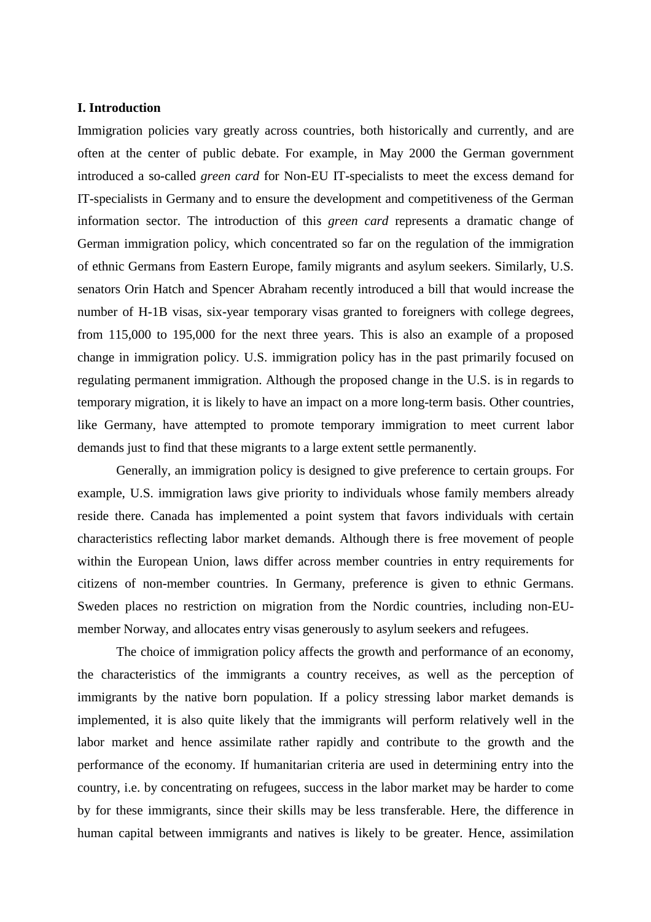#### **I. Introduction**

Immigration policies vary greatly across countries, both historically and currently, and are often at the center of public debate. For example, in May 2000 the German government introduced a so-called *green card* for Non-EU IT-specialists to meet the excess demand for IT-specialists in Germany and to ensure the development and competitiveness of the German information sector. The introduction of this *green card* represents a dramatic change of German immigration policy, which concentrated so far on the regulation of the immigration of ethnic Germans from Eastern Europe, family migrants and asylum seekers. Similarly, U.S. senators Orin Hatch and Spencer Abraham recently introduced a bill that would increase the number of H-1B visas, six-year temporary visas granted to foreigners with college degrees, from 115,000 to 195,000 for the next three years. This is also an example of a proposed change in immigration policy. U.S. immigration policy has in the past primarily focused on regulating permanent immigration. Although the proposed change in the U.S. is in regards to temporary migration, it is likely to have an impact on a more long-term basis. Other countries, like Germany, have attempted to promote temporary immigration to meet current labor demands just to find that these migrants to a large extent settle permanently.

Generally, an immigration policy is designed to give preference to certain groups. For example, U.S. immigration laws give priority to individuals whose family members already reside there. Canada has implemented a point system that favors individuals with certain characteristics reflecting labor market demands. Although there is free movement of people within the European Union, laws differ across member countries in entry requirements for citizens of non-member countries. In Germany, preference is given to ethnic Germans. Sweden places no restriction on migration from the Nordic countries, including non-EUmember Norway, and allocates entry visas generously to asylum seekers and refugees.

The choice of immigration policy affects the growth and performance of an economy, the characteristics of the immigrants a country receives, as well as the perception of immigrants by the native born population. If a policy stressing labor market demands is implemented, it is also quite likely that the immigrants will perform relatively well in the labor market and hence assimilate rather rapidly and contribute to the growth and the performance of the economy. If humanitarian criteria are used in determining entry into the country, i.e. by concentrating on refugees, success in the labor market may be harder to come by for these immigrants, since their skills may be less transferable. Here, the difference in human capital between immigrants and natives is likely to be greater. Hence, assimilation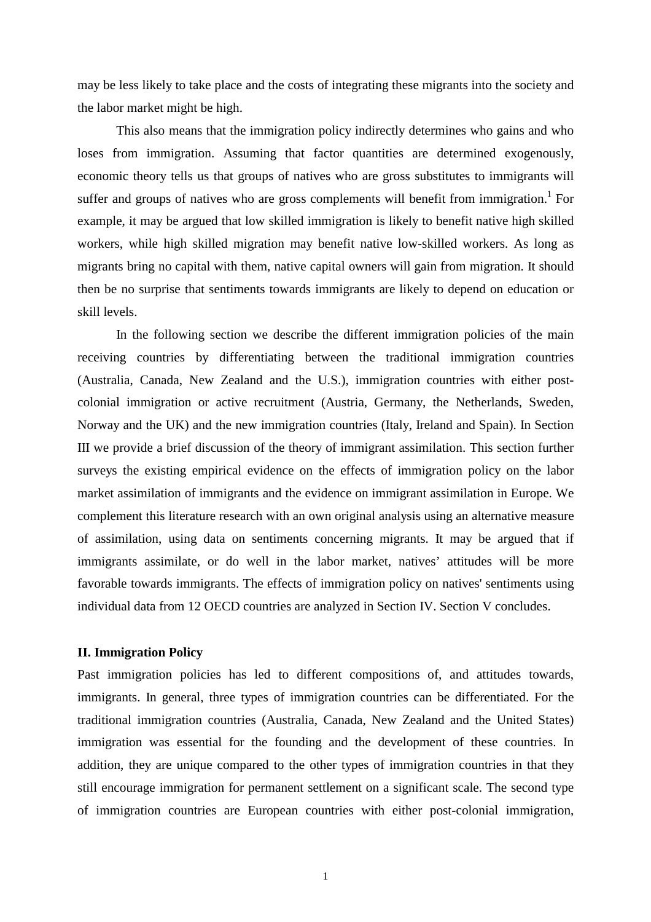may be less likely to take place and the costs of integrating these migrants into the society and the labor market might be high.

This also means that the immigration policy indirectly determines who gains and who loses from immigration. Assuming that factor quantities are determined exogenously, economic theory tells us that groups of natives who are gross substitutes to immigrants will suffer and groups of natives who are gross complements will benefit from immigration.<sup>1</sup> For example, it may be argued that low skilled immigration is likely to benefit native high skilled workers, while high skilled migration may benefit native low-skilled workers. As long as migrants bring no capital with them, native capital owners will gain from migration. It should then be no surprise that sentiments towards immigrants are likely to depend on education or skill levels.

In the following section we describe the different immigration policies of the main receiving countries by differentiating between the traditional immigration countries (Australia, Canada, New Zealand and the U.S.), immigration countries with either postcolonial immigration or active recruitment (Austria, Germany, the Netherlands, Sweden, Norway and the UK) and the new immigration countries (Italy, Ireland and Spain). In Section III we provide a brief discussion of the theory of immigrant assimilation. This section further surveys the existing empirical evidence on the effects of immigration policy on the labor market assimilation of immigrants and the evidence on immigrant assimilation in Europe. We complement this literature research with an own original analysis using an alternative measure of assimilation, using data on sentiments concerning migrants. It may be argued that if immigrants assimilate, or do well in the labor market, natives' attitudes will be more favorable towards immigrants. The effects of immigration policy on natives' sentiments using individual data from 12 OECD countries are analyzed in Section IV. Section V concludes.

#### **II. Immigration Policy**

Past immigration policies has led to different compositions of, and attitudes towards, immigrants. In general, three types of immigration countries can be differentiated. For the traditional immigration countries (Australia, Canada, New Zealand and the United States) immigration was essential for the founding and the development of these countries. In addition, they are unique compared to the other types of immigration countries in that they still encourage immigration for permanent settlement on a significant scale. The second type of immigration countries are European countries with either post-colonial immigration,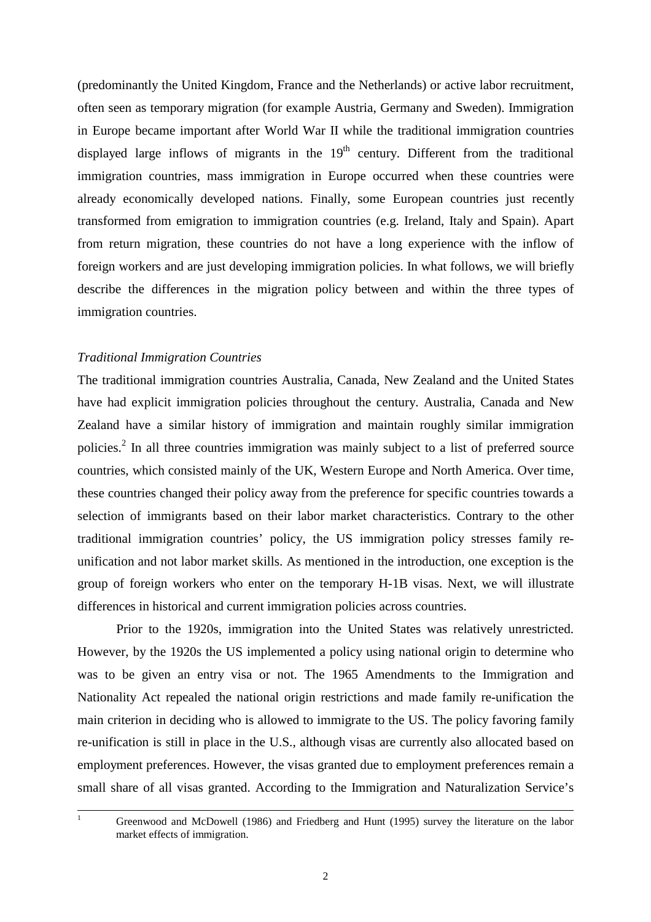(predominantly the United Kingdom, France and the Netherlands) or active labor recruitment, often seen as temporary migration (for example Austria, Germany and Sweden). Immigration in Europe became important after World War II while the traditional immigration countries displayed large inflows of migrants in the  $19<sup>th</sup>$  century. Different from the traditional immigration countries, mass immigration in Europe occurred when these countries were already economically developed nations. Finally, some European countries just recently transformed from emigration to immigration countries (e.g. Ireland, Italy and Spain). Apart from return migration, these countries do not have a long experience with the inflow of foreign workers and are just developing immigration policies. In what follows, we will briefly describe the differences in the migration policy between and within the three types of immigration countries.

#### *Traditional Immigration Countries*

The traditional immigration countries Australia, Canada, New Zealand and the United States have had explicit immigration policies throughout the century. Australia, Canada and New Zealand have a similar history of immigration and maintain roughly similar immigration policies.<sup>2</sup> In all three countries immigration was mainly subject to a list of preferred source countries, which consisted mainly of the UK, Western Europe and North America. Over time, these countries changed their policy away from the preference for specific countries towards a selection of immigrants based on their labor market characteristics. Contrary to the other traditional immigration countries' policy, the US immigration policy stresses family reunification and not labor market skills. As mentioned in the introduction, one exception is the group of foreign workers who enter on the temporary H-1B visas. Next, we will illustrate differences in historical and current immigration policies across countries.

 Prior to the 1920s, immigration into the United States was relatively unrestricted. However, by the 1920s the US implemented a policy using national origin to determine who was to be given an entry visa or not. The 1965 Amendments to the Immigration and Nationality Act repealed the national origin restrictions and made family re-unification the main criterion in deciding who is allowed to immigrate to the US. The policy favoring family re-unification is still in place in the U.S., although visas are currently also allocated based on employment preferences. However, the visas granted due to employment preferences remain a small share of all visas granted. According to the Immigration and Naturalization Service's

 $\frac{1}{1}$ 

<sup>&</sup>lt;sup>1</sup> Greenwood and McDowell (1986) and Friedberg and Hunt (1995) survey the literature on the labor market effects of immigration.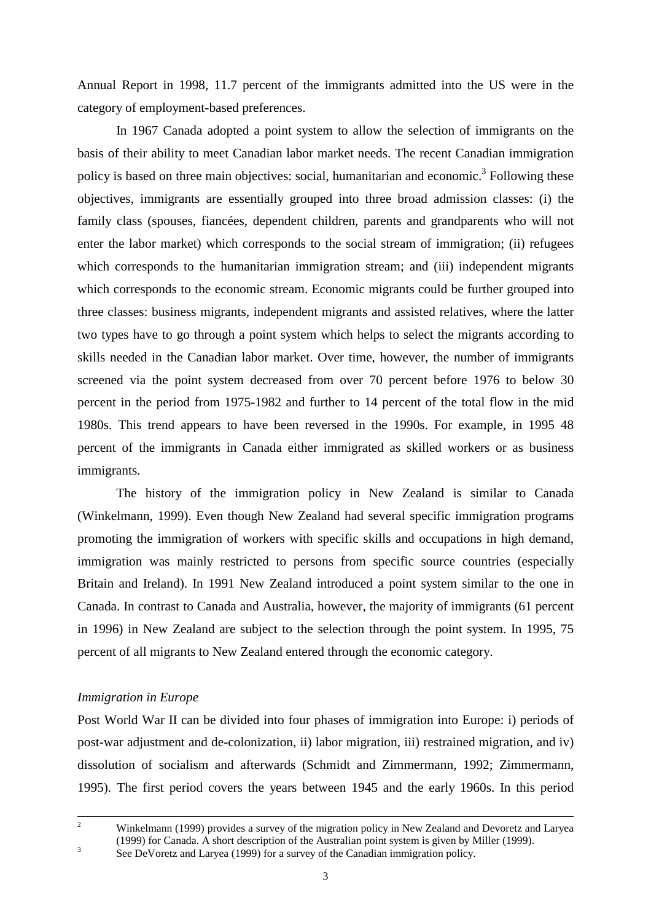Annual Report in 1998, 11.7 percent of the immigrants admitted into the US were in the category of employment-based preferences.

In 1967 Canada adopted a point system to allow the selection of immigrants on the basis of their ability to meet Canadian labor market needs. The recent Canadian immigration policy is based on three main objectives: social, humanitarian and economic.<sup>3</sup> Following these objectives, immigrants are essentially grouped into three broad admission classes: (i) the family class (spouses, fiancées, dependent children, parents and grandparents who will not enter the labor market) which corresponds to the social stream of immigration; (ii) refugees which corresponds to the humanitarian immigration stream; and (iii) independent migrants which corresponds to the economic stream. Economic migrants could be further grouped into three classes: business migrants, independent migrants and assisted relatives, where the latter two types have to go through a point system which helps to select the migrants according to skills needed in the Canadian labor market. Over time, however, the number of immigrants screened via the point system decreased from over 70 percent before 1976 to below 30 percent in the period from 1975-1982 and further to 14 percent of the total flow in the mid 1980s. This trend appears to have been reversed in the 1990s. For example, in 1995 48 percent of the immigrants in Canada either immigrated as skilled workers or as business immigrants.

The history of the immigration policy in New Zealand is similar to Canada (Winkelmann, 1999). Even though New Zealand had several specific immigration programs promoting the immigration of workers with specific skills and occupations in high demand, immigration was mainly restricted to persons from specific source countries (especially Britain and Ireland). In 1991 New Zealand introduced a point system similar to the one in Canada. In contrast to Canada and Australia, however, the majority of immigrants (61 percent in 1996) in New Zealand are subject to the selection through the point system. In 1995, 75 percent of all migrants to New Zealand entered through the economic category.

#### *Immigration in Europe*

Post World War II can be divided into four phases of immigration into Europe: i) periods of post-war adjustment and de-colonization, ii) labor migration, iii) restrained migration, and iv) dissolution of socialism and afterwards (Schmidt and Zimmermann, 1992; Zimmermann, 1995). The first period covers the years between 1945 and the early 1960s. In this period

See DeVoretz and Laryea (1999) for a survey of the Canadian immigration policy.

 $\frac{1}{2}$ <sup>2</sup> Winkelmann (1999) provides a survey of the migration policy in New Zealand and Devoretz and Laryea (1999) for Canada. A short description of the Australian point system is given by Miller (1999). 3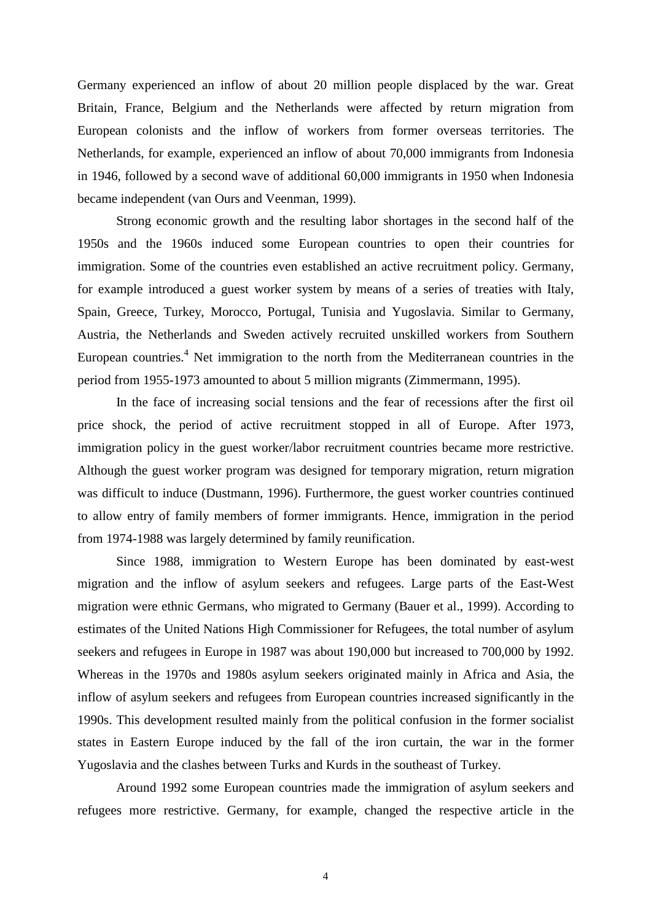Germany experienced an inflow of about 20 million people displaced by the war. Great Britain, France, Belgium and the Netherlands were affected by return migration from European colonists and the inflow of workers from former overseas territories. The Netherlands, for example, experienced an inflow of about 70,000 immigrants from Indonesia in 1946, followed by a second wave of additional 60,000 immigrants in 1950 when Indonesia became independent (van Ours and Veenman, 1999).

Strong economic growth and the resulting labor shortages in the second half of the 1950s and the 1960s induced some European countries to open their countries for immigration. Some of the countries even established an active recruitment policy. Germany, for example introduced a guest worker system by means of a series of treaties with Italy, Spain, Greece, Turkey, Morocco, Portugal, Tunisia and Yugoslavia. Similar to Germany, Austria, the Netherlands and Sweden actively recruited unskilled workers from Southern European countries.<sup>4</sup> Net immigration to the north from the Mediterranean countries in the period from 1955-1973 amounted to about 5 million migrants (Zimmermann, 1995).

In the face of increasing social tensions and the fear of recessions after the first oil price shock, the period of active recruitment stopped in all of Europe. After 1973, immigration policy in the guest worker/labor recruitment countries became more restrictive. Although the guest worker program was designed for temporary migration, return migration was difficult to induce (Dustmann, 1996). Furthermore, the guest worker countries continued to allow entry of family members of former immigrants. Hence, immigration in the period from 1974-1988 was largely determined by family reunification.

Since 1988, immigration to Western Europe has been dominated by east-west migration and the inflow of asylum seekers and refugees. Large parts of the East-West migration were ethnic Germans, who migrated to Germany (Bauer et al., 1999). According to estimates of the United Nations High Commissioner for Refugees, the total number of asylum seekers and refugees in Europe in 1987 was about 190,000 but increased to 700,000 by 1992. Whereas in the 1970s and 1980s asylum seekers originated mainly in Africa and Asia, the inflow of asylum seekers and refugees from European countries increased significantly in the 1990s. This development resulted mainly from the political confusion in the former socialist states in Eastern Europe induced by the fall of the iron curtain, the war in the former Yugoslavia and the clashes between Turks and Kurds in the southeast of Turkey.

Around 1992 some European countries made the immigration of asylum seekers and refugees more restrictive. Germany, for example, changed the respective article in the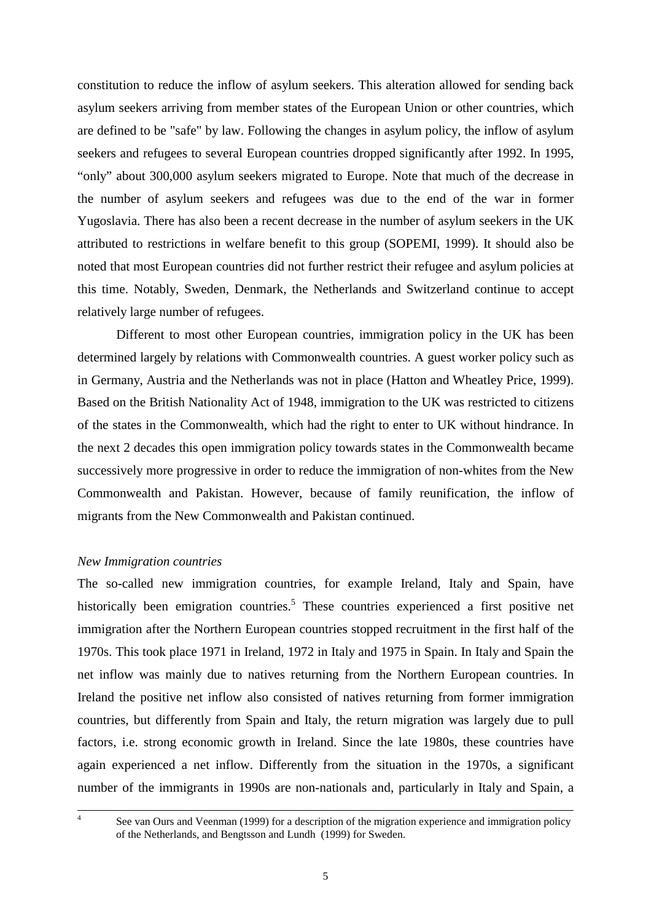constitution to reduce the inflow of asylum seekers. This alteration allowed for sending back asylum seekers arriving from member states of the European Union or other countries, which are defined to be "safe" by law. Following the changes in asylum policy, the inflow of asylum seekers and refugees to several European countries dropped significantly after 1992. In 1995, "only" about 300,000 asylum seekers migrated to Europe. Note that much of the decrease in the number of asylum seekers and refugees was due to the end of the war in former Yugoslavia. There has also been a recent decrease in the number of asylum seekers in the UK attributed to restrictions in welfare benefit to this group (SOPEMI, 1999). It should also be noted that most European countries did not further restrict their refugee and asylum policies at this time. Notably, Sweden, Denmark, the Netherlands and Switzerland continue to accept relatively large number of refugees.

Different to most other European countries, immigration policy in the UK has been determined largely by relations with Commonwealth countries. A guest worker policy such as in Germany, Austria and the Netherlands was not in place (Hatton and Wheatley Price, 1999). Based on the British Nationality Act of 1948, immigration to the UK was restricted to citizens of the states in the Commonwealth, which had the right to enter to UK without hindrance. In the next 2 decades this open immigration policy towards states in the Commonwealth became successively more progressive in order to reduce the immigration of non-whites from the New Commonwealth and Pakistan. However, because of family reunification, the inflow of migrants from the New Commonwealth and Pakistan continued.

#### *New Immigration countries*

The so-called new immigration countries, for example Ireland, Italy and Spain, have historically been emigration countries.<sup>5</sup> These countries experienced a first positive net immigration after the Northern European countries stopped recruitment in the first half of the 1970s. This took place 1971 in Ireland, 1972 in Italy and 1975 in Spain. In Italy and Spain the net inflow was mainly due to natives returning from the Northern European countries. In Ireland the positive net inflow also consisted of natives returning from former immigration countries, but differently from Spain and Italy, the return migration was largely due to pull factors, i.e. strong economic growth in Ireland. Since the late 1980s, these countries have again experienced a net inflow. Differently from the situation in the 1970s, a significant number of the immigrants in 1990s are non-nationals and, particularly in Italy and Spain, a

-<br>4

<sup>&</sup>lt;sup>4</sup> See van Ours and Veenman (1999) for a description of the migration experience and immigration policy of the Netherlands, and Bengtsson and Lundh (1999) for Sweden.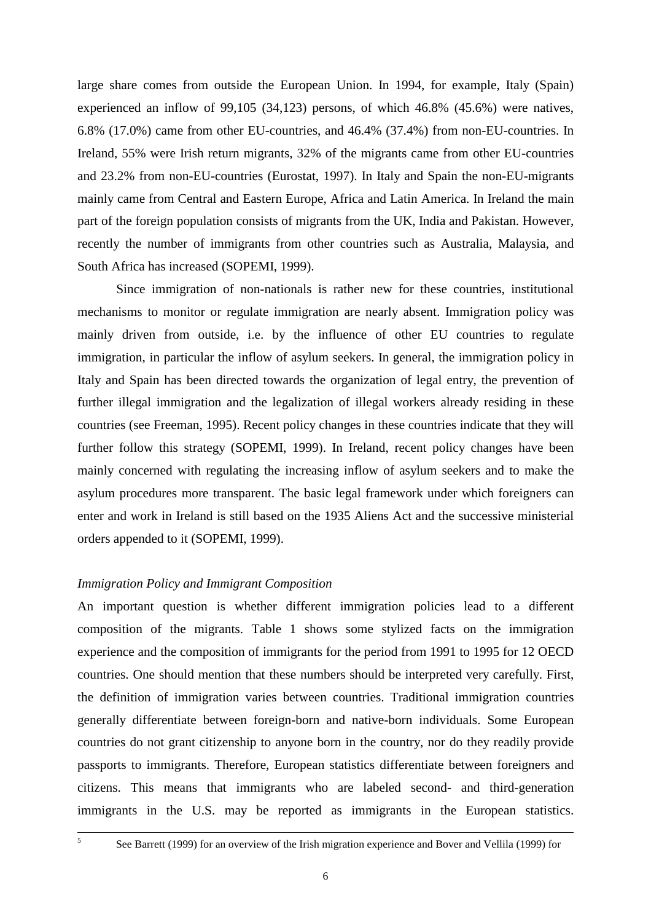large share comes from outside the European Union. In 1994, for example, Italy (Spain) experienced an inflow of 99,105 (34,123) persons, of which 46.8% (45.6%) were natives, 6.8% (17.0%) came from other EU-countries, and 46.4% (37.4%) from non-EU-countries. In Ireland, 55% were Irish return migrants, 32% of the migrants came from other EU-countries and 23.2% from non-EU-countries (Eurostat, 1997). In Italy and Spain the non-EU-migrants mainly came from Central and Eastern Europe, Africa and Latin America. In Ireland the main part of the foreign population consists of migrants from the UK, India and Pakistan. However, recently the number of immigrants from other countries such as Australia, Malaysia, and South Africa has increased (SOPEMI, 1999).

 Since immigration of non-nationals is rather new for these countries, institutional mechanisms to monitor or regulate immigration are nearly absent. Immigration policy was mainly driven from outside, i.e. by the influence of other EU countries to regulate immigration, in particular the inflow of asylum seekers. In general, the immigration policy in Italy and Spain has been directed towards the organization of legal entry, the prevention of further illegal immigration and the legalization of illegal workers already residing in these countries (see Freeman, 1995). Recent policy changes in these countries indicate that they will further follow this strategy (SOPEMI, 1999). In Ireland, recent policy changes have been mainly concerned with regulating the increasing inflow of asylum seekers and to make the asylum procedures more transparent. The basic legal framework under which foreigners can enter and work in Ireland is still based on the 1935 Aliens Act and the successive ministerial orders appended to it (SOPEMI, 1999).

#### *Immigration Policy and Immigrant Composition*

An important question is whether different immigration policies lead to a different composition of the migrants. Table 1 shows some stylized facts on the immigration experience and the composition of immigrants for the period from 1991 to 1995 for 12 OECD countries. One should mention that these numbers should be interpreted very carefully. First, the definition of immigration varies between countries. Traditional immigration countries generally differentiate between foreign-born and native-born individuals. Some European countries do not grant citizenship to anyone born in the country, nor do they readily provide passports to immigrants. Therefore, European statistics differentiate between foreigners and citizens. This means that immigrants who are labeled second- and third-generation immigrants in the U.S. may be reported as immigrants in the European statistics.

<sup>&</sup>lt;sup>5</sup> See Barrett (1999) for an overview of the Irish migration experience and Bover and Vellila (1999) for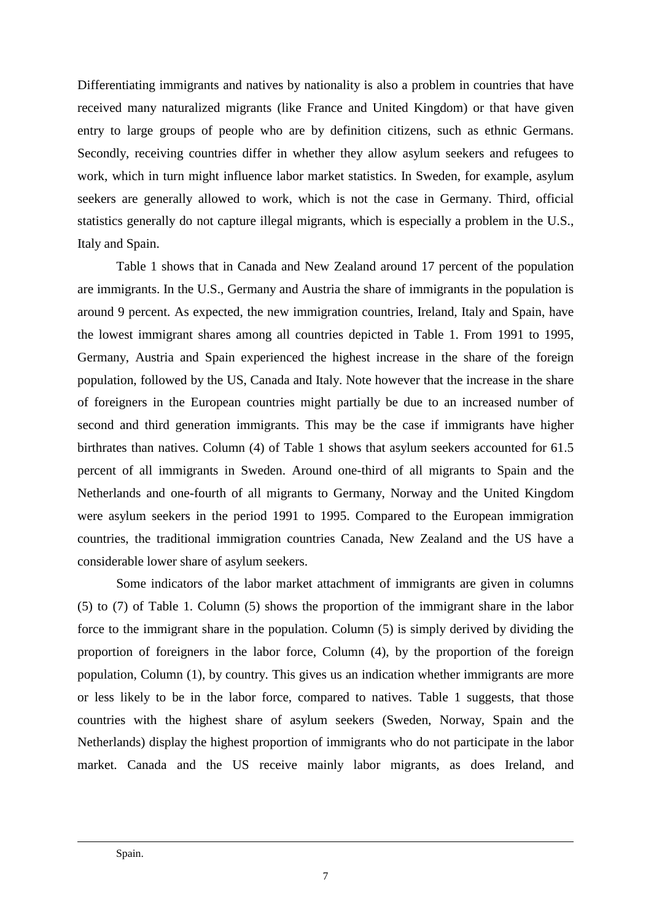Differentiating immigrants and natives by nationality is also a problem in countries that have received many naturalized migrants (like France and United Kingdom) or that have given entry to large groups of people who are by definition citizens, such as ethnic Germans. Secondly, receiving countries differ in whether they allow asylum seekers and refugees to work, which in turn might influence labor market statistics. In Sweden, for example, asylum seekers are generally allowed to work, which is not the case in Germany. Third, official statistics generally do not capture illegal migrants, which is especially a problem in the U.S., Italy and Spain.

 Table 1 shows that in Canada and New Zealand around 17 percent of the population are immigrants. In the U.S., Germany and Austria the share of immigrants in the population is around 9 percent. As expected, the new immigration countries, Ireland, Italy and Spain, have the lowest immigrant shares among all countries depicted in Table 1. From 1991 to 1995, Germany, Austria and Spain experienced the highest increase in the share of the foreign population, followed by the US, Canada and Italy. Note however that the increase in the share of foreigners in the European countries might partially be due to an increased number of second and third generation immigrants. This may be the case if immigrants have higher birthrates than natives. Column (4) of Table 1 shows that asylum seekers accounted for 61.5 percent of all immigrants in Sweden. Around one-third of all migrants to Spain and the Netherlands and one-fourth of all migrants to Germany, Norway and the United Kingdom were asylum seekers in the period 1991 to 1995. Compared to the European immigration countries, the traditional immigration countries Canada, New Zealand and the US have a considerable lower share of asylum seekers.

 Some indicators of the labor market attachment of immigrants are given in columns (5) to (7) of Table 1. Column (5) shows the proportion of the immigrant share in the labor force to the immigrant share in the population. Column (5) is simply derived by dividing the proportion of foreigners in the labor force, Column (4), by the proportion of the foreign population, Column (1), by country. This gives us an indication whether immigrants are more or less likely to be in the labor force, compared to natives. Table 1 suggests, that those countries with the highest share of asylum seekers (Sweden, Norway, Spain and the Netherlands) display the highest proportion of immigrants who do not participate in the labor market. Canada and the US receive mainly labor migrants, as does Ireland, and

-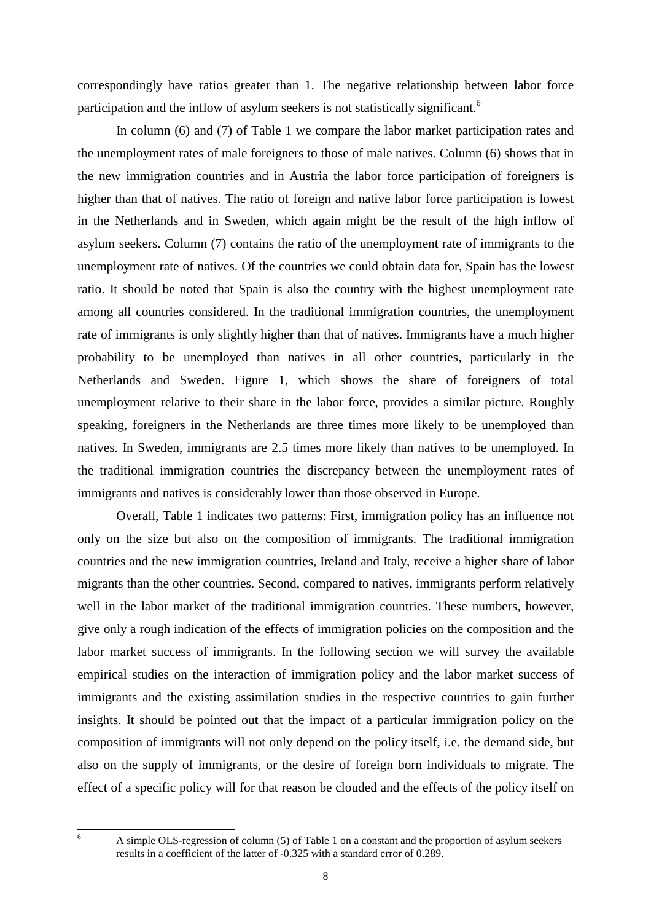correspondingly have ratios greater than 1. The negative relationship between labor force participation and the inflow of asylum seekers is not statistically significant.<sup>6</sup>

In column (6) and (7) of Table 1 we compare the labor market participation rates and the unemployment rates of male foreigners to those of male natives. Column (6) shows that in the new immigration countries and in Austria the labor force participation of foreigners is higher than that of natives. The ratio of foreign and native labor force participation is lowest in the Netherlands and in Sweden, which again might be the result of the high inflow of asylum seekers. Column (7) contains the ratio of the unemployment rate of immigrants to the unemployment rate of natives. Of the countries we could obtain data for, Spain has the lowest ratio. It should be noted that Spain is also the country with the highest unemployment rate among all countries considered. In the traditional immigration countries, the unemployment rate of immigrants is only slightly higher than that of natives. Immigrants have a much higher probability to be unemployed than natives in all other countries, particularly in the Netherlands and Sweden. Figure 1, which shows the share of foreigners of total unemployment relative to their share in the labor force, provides a similar picture. Roughly speaking, foreigners in the Netherlands are three times more likely to be unemployed than natives. In Sweden, immigrants are 2.5 times more likely than natives to be unemployed. In the traditional immigration countries the discrepancy between the unemployment rates of immigrants and natives is considerably lower than those observed in Europe.

Overall, Table 1 indicates two patterns: First, immigration policy has an influence not only on the size but also on the composition of immigrants. The traditional immigration countries and the new immigration countries, Ireland and Italy, receive a higher share of labor migrants than the other countries. Second, compared to natives, immigrants perform relatively well in the labor market of the traditional immigration countries. These numbers, however, give only a rough indication of the effects of immigration policies on the composition and the labor market success of immigrants. In the following section we will survey the available empirical studies on the interaction of immigration policy and the labor market success of immigrants and the existing assimilation studies in the respective countries to gain further insights. It should be pointed out that the impact of a particular immigration policy on the composition of immigrants will not only depend on the policy itself, i.e. the demand side, but also on the supply of immigrants, or the desire of foreign born individuals to migrate. The effect of a specific policy will for that reason be clouded and the effects of the policy itself on

6

A simple OLS-regression of column (5) of Table 1 on a constant and the proportion of asylum seekers results in a coefficient of the latter of -0.325 with a standard error of 0.289.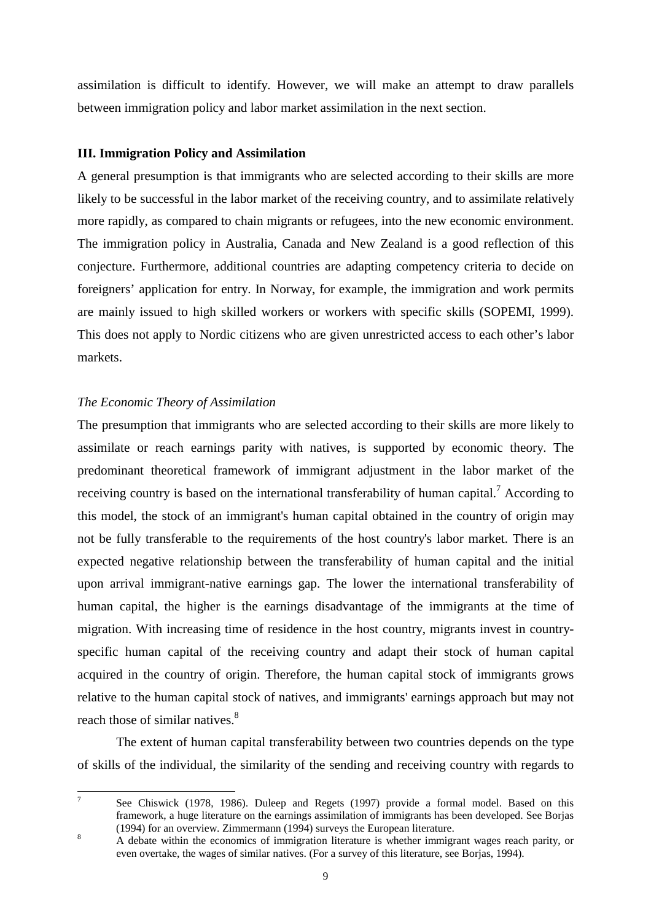assimilation is difficult to identify. However, we will make an attempt to draw parallels between immigration policy and labor market assimilation in the next section.

#### **III. Immigration Policy and Assimilation**

A general presumption is that immigrants who are selected according to their skills are more likely to be successful in the labor market of the receiving country, and to assimilate relatively more rapidly, as compared to chain migrants or refugees, into the new economic environment. The immigration policy in Australia, Canada and New Zealand is a good reflection of this conjecture. Furthermore, additional countries are adapting competency criteria to decide on foreigners' application for entry. In Norway, for example, the immigration and work permits are mainly issued to high skilled workers or workers with specific skills (SOPEMI, 1999). This does not apply to Nordic citizens who are given unrestricted access to each other's labor markets.

#### *The Economic Theory of Assimilation*

7

The presumption that immigrants who are selected according to their skills are more likely to assimilate or reach earnings parity with natives, is supported by economic theory. The predominant theoretical framework of immigrant adjustment in the labor market of the receiving country is based on the international transferability of human capital.<sup>7</sup> According to this model, the stock of an immigrant's human capital obtained in the country of origin may not be fully transferable to the requirements of the host country's labor market. There is an expected negative relationship between the transferability of human capital and the initial upon arrival immigrant-native earnings gap. The lower the international transferability of human capital, the higher is the earnings disadvantage of the immigrants at the time of migration. With increasing time of residence in the host country, migrants invest in countryspecific human capital of the receiving country and adapt their stock of human capital acquired in the country of origin. Therefore, the human capital stock of immigrants grows relative to the human capital stock of natives, and immigrants' earnings approach but may not reach those of similar natives.<sup>8</sup>

The extent of human capital transferability between two countries depends on the type of skills of the individual, the similarity of the sending and receiving country with regards to

 See Chiswick (1978, 1986). Duleep and Regets (1997) provide a formal model. Based on this framework, a huge literature on the earnings assimilation of immigrants has been developed. See Borjas (1994) for an overview. Zimmermann (1994) surveys the European literature. 8

A debate within the economics of immigration literature is whether immigrant wages reach parity, or even overtake, the wages of similar natives. (For a survey of this literature, see Borjas, 1994).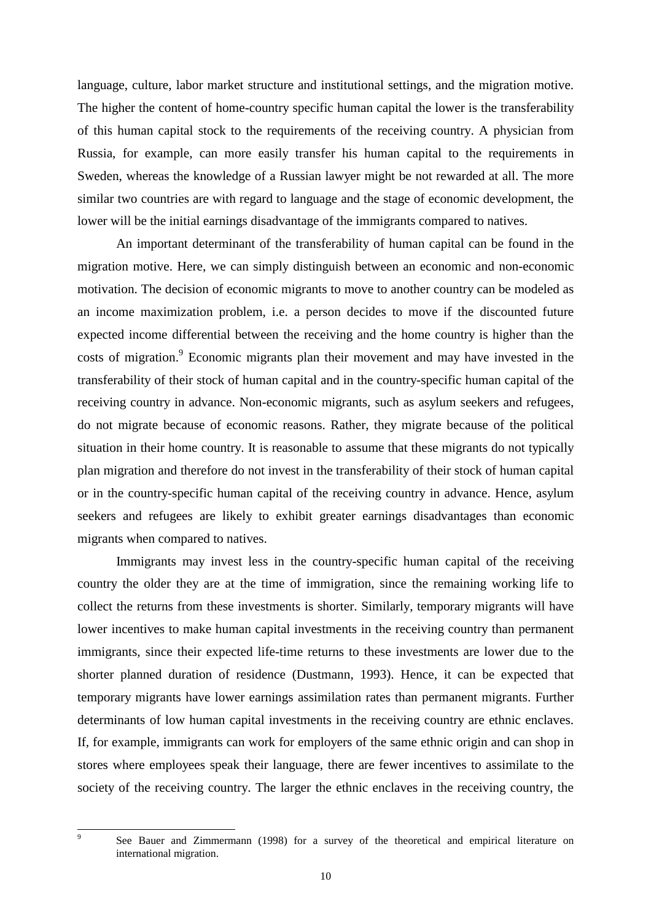language, culture, labor market structure and institutional settings, and the migration motive. The higher the content of home-country specific human capital the lower is the transferability of this human capital stock to the requirements of the receiving country. A physician from Russia, for example, can more easily transfer his human capital to the requirements in Sweden, whereas the knowledge of a Russian lawyer might be not rewarded at all. The more similar two countries are with regard to language and the stage of economic development, the lower will be the initial earnings disadvantage of the immigrants compared to natives.

An important determinant of the transferability of human capital can be found in the migration motive. Here, we can simply distinguish between an economic and non-economic motivation. The decision of economic migrants to move to another country can be modeled as an income maximization problem, i.e. a person decides to move if the discounted future expected income differential between the receiving and the home country is higher than the costs of migration.<sup>9</sup> Economic migrants plan their movement and may have invested in the transferability of their stock of human capital and in the country-specific human capital of the receiving country in advance. Non-economic migrants, such as asylum seekers and refugees, do not migrate because of economic reasons. Rather, they migrate because of the political situation in their home country. It is reasonable to assume that these migrants do not typically plan migration and therefore do not invest in the transferability of their stock of human capital or in the country-specific human capital of the receiving country in advance. Hence, asylum seekers and refugees are likely to exhibit greater earnings disadvantages than economic migrants when compared to natives.

Immigrants may invest less in the country-specific human capital of the receiving country the older they are at the time of immigration, since the remaining working life to collect the returns from these investments is shorter. Similarly, temporary migrants will have lower incentives to make human capital investments in the receiving country than permanent immigrants, since their expected life-time returns to these investments are lower due to the shorter planned duration of residence (Dustmann, 1993). Hence, it can be expected that temporary migrants have lower earnings assimilation rates than permanent migrants. Further determinants of low human capital investments in the receiving country are ethnic enclaves. If, for example, immigrants can work for employers of the same ethnic origin and can shop in stores where employees speak their language, there are fewer incentives to assimilate to the society of the receiving country. The larger the ethnic enclaves in the receiving country, the

9

See Bauer and Zimmermann (1998) for a survey of the theoretical and empirical literature on international migration.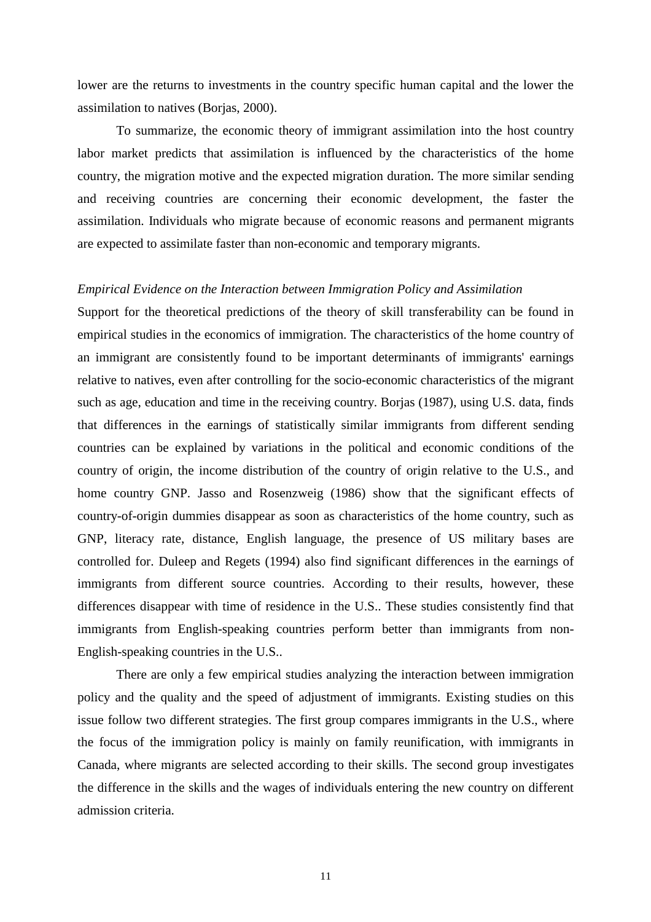lower are the returns to investments in the country specific human capital and the lower the assimilation to natives (Borjas, 2000).

To summarize, the economic theory of immigrant assimilation into the host country labor market predicts that assimilation is influenced by the characteristics of the home country, the migration motive and the expected migration duration. The more similar sending and receiving countries are concerning their economic development, the faster the assimilation. Individuals who migrate because of economic reasons and permanent migrants are expected to assimilate faster than non-economic and temporary migrants.

#### *Empirical Evidence on the Interaction between Immigration Policy and Assimilation*

Support for the theoretical predictions of the theory of skill transferability can be found in empirical studies in the economics of immigration. The characteristics of the home country of an immigrant are consistently found to be important determinants of immigrants' earnings relative to natives, even after controlling for the socio-economic characteristics of the migrant such as age, education and time in the receiving country. Borjas (1987), using U.S. data, finds that differences in the earnings of statistically similar immigrants from different sending countries can be explained by variations in the political and economic conditions of the country of origin, the income distribution of the country of origin relative to the U.S., and home country GNP. Jasso and Rosenzweig (1986) show that the significant effects of country-of-origin dummies disappear as soon as characteristics of the home country, such as GNP, literacy rate, distance, English language, the presence of US military bases are controlled for. Duleep and Regets (1994) also find significant differences in the earnings of immigrants from different source countries. According to their results, however, these differences disappear with time of residence in the U.S.. These studies consistently find that immigrants from English-speaking countries perform better than immigrants from non-English-speaking countries in the U.S..

There are only a few empirical studies analyzing the interaction between immigration policy and the quality and the speed of adjustment of immigrants. Existing studies on this issue follow two different strategies. The first group compares immigrants in the U.S., where the focus of the immigration policy is mainly on family reunification, with immigrants in Canada, where migrants are selected according to their skills. The second group investigates the difference in the skills and the wages of individuals entering the new country on different admission criteria.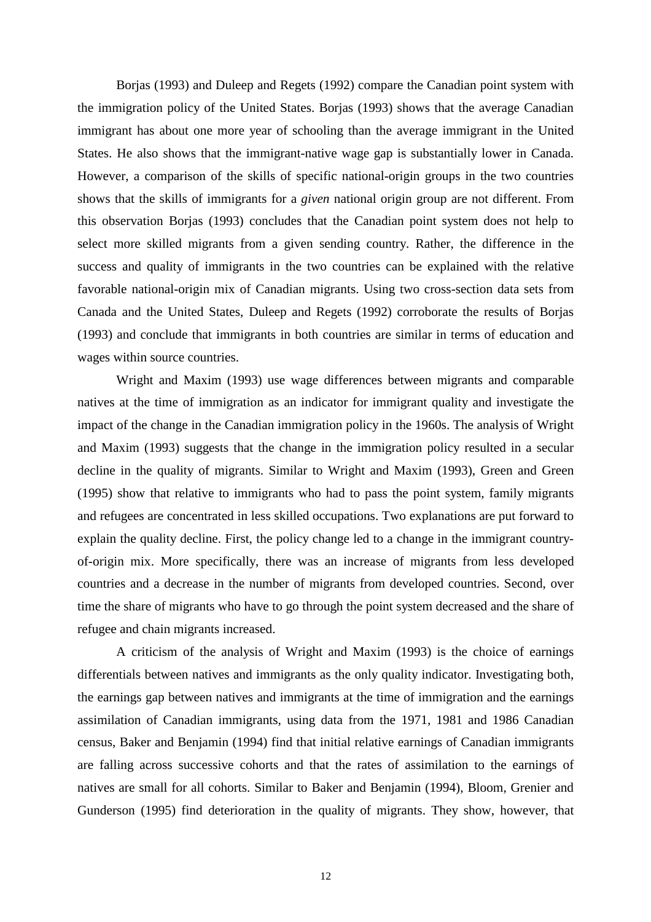Borjas (1993) and Duleep and Regets (1992) compare the Canadian point system with the immigration policy of the United States. Borjas (1993) shows that the average Canadian immigrant has about one more year of schooling than the average immigrant in the United States. He also shows that the immigrant-native wage gap is substantially lower in Canada. However, a comparison of the skills of specific national-origin groups in the two countries shows that the skills of immigrants for a *given* national origin group are not different. From this observation Borjas (1993) concludes that the Canadian point system does not help to select more skilled migrants from a given sending country. Rather, the difference in the success and quality of immigrants in the two countries can be explained with the relative favorable national-origin mix of Canadian migrants. Using two cross-section data sets from Canada and the United States, Duleep and Regets (1992) corroborate the results of Borjas (1993) and conclude that immigrants in both countries are similar in terms of education and wages within source countries.

 Wright and Maxim (1993) use wage differences between migrants and comparable natives at the time of immigration as an indicator for immigrant quality and investigate the impact of the change in the Canadian immigration policy in the 1960s. The analysis of Wright and Maxim (1993) suggests that the change in the immigration policy resulted in a secular decline in the quality of migrants. Similar to Wright and Maxim (1993), Green and Green (1995) show that relative to immigrants who had to pass the point system, family migrants and refugees are concentrated in less skilled occupations. Two explanations are put forward to explain the quality decline. First, the policy change led to a change in the immigrant countryof-origin mix. More specifically, there was an increase of migrants from less developed countries and a decrease in the number of migrants from developed countries. Second, over time the share of migrants who have to go through the point system decreased and the share of refugee and chain migrants increased.

 A criticism of the analysis of Wright and Maxim (1993) is the choice of earnings differentials between natives and immigrants as the only quality indicator. Investigating both, the earnings gap between natives and immigrants at the time of immigration and the earnings assimilation of Canadian immigrants, using data from the 1971, 1981 and 1986 Canadian census, Baker and Benjamin (1994) find that initial relative earnings of Canadian immigrants are falling across successive cohorts and that the rates of assimilation to the earnings of natives are small for all cohorts. Similar to Baker and Benjamin (1994), Bloom, Grenier and Gunderson (1995) find deterioration in the quality of migrants. They show, however, that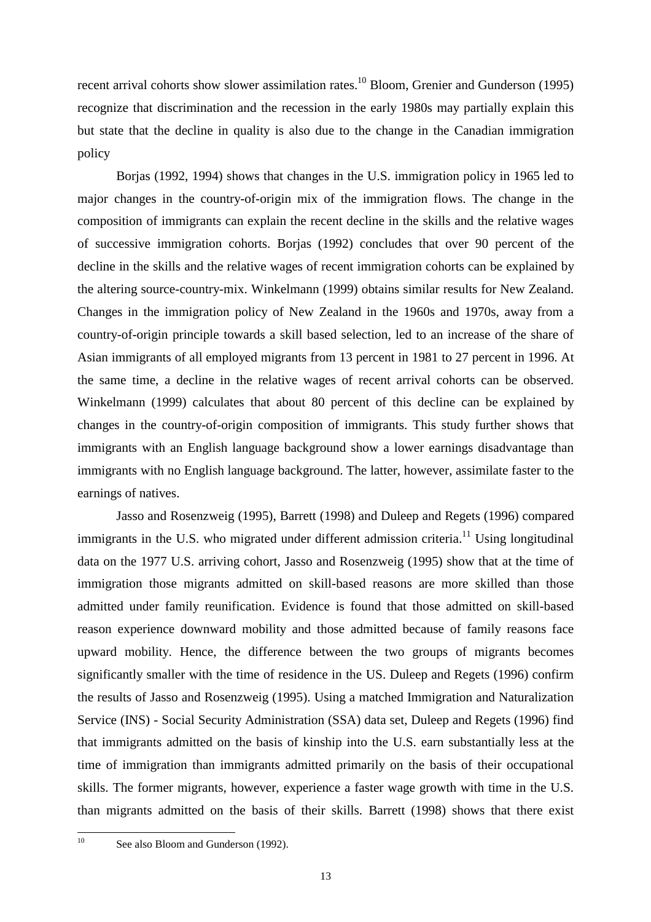recent arrival cohorts show slower assimilation rates.<sup>10</sup> Bloom, Grenier and Gunderson (1995) recognize that discrimination and the recession in the early 1980s may partially explain this but state that the decline in quality is also due to the change in the Canadian immigration policy

Borjas (1992, 1994) shows that changes in the U.S. immigration policy in 1965 led to major changes in the country-of-origin mix of the immigration flows. The change in the composition of immigrants can explain the recent decline in the skills and the relative wages of successive immigration cohorts. Borjas (1992) concludes that over 90 percent of the decline in the skills and the relative wages of recent immigration cohorts can be explained by the altering source-country-mix. Winkelmann (1999) obtains similar results for New Zealand. Changes in the immigration policy of New Zealand in the 1960s and 1970s, away from a country-of-origin principle towards a skill based selection, led to an increase of the share of Asian immigrants of all employed migrants from 13 percent in 1981 to 27 percent in 1996. At the same time, a decline in the relative wages of recent arrival cohorts can be observed. Winkelmann (1999) calculates that about 80 percent of this decline can be explained by changes in the country-of-origin composition of immigrants. This study further shows that immigrants with an English language background show a lower earnings disadvantage than immigrants with no English language background. The latter, however, assimilate faster to the earnings of natives.

Jasso and Rosenzweig (1995), Barrett (1998) and Duleep and Regets (1996) compared immigrants in the U.S. who migrated under different admission criteria.<sup>11</sup> Using longitudinal data on the 1977 U.S. arriving cohort, Jasso and Rosenzweig (1995) show that at the time of immigration those migrants admitted on skill-based reasons are more skilled than those admitted under family reunification. Evidence is found that those admitted on skill-based reason experience downward mobility and those admitted because of family reasons face upward mobility. Hence, the difference between the two groups of migrants becomes significantly smaller with the time of residence in the US. Duleep and Regets (1996) confirm the results of Jasso and Rosenzweig (1995). Using a matched Immigration and Naturalization Service (INS) - Social Security Administration (SSA) data set, Duleep and Regets (1996) find that immigrants admitted on the basis of kinship into the U.S. earn substantially less at the time of immigration than immigrants admitted primarily on the basis of their occupational skills. The former migrants, however, experience a faster wage growth with time in the U.S. than migrants admitted on the basis of their skills. Barrett (1998) shows that there exist

 $10$ 

See also Bloom and Gunderson (1992).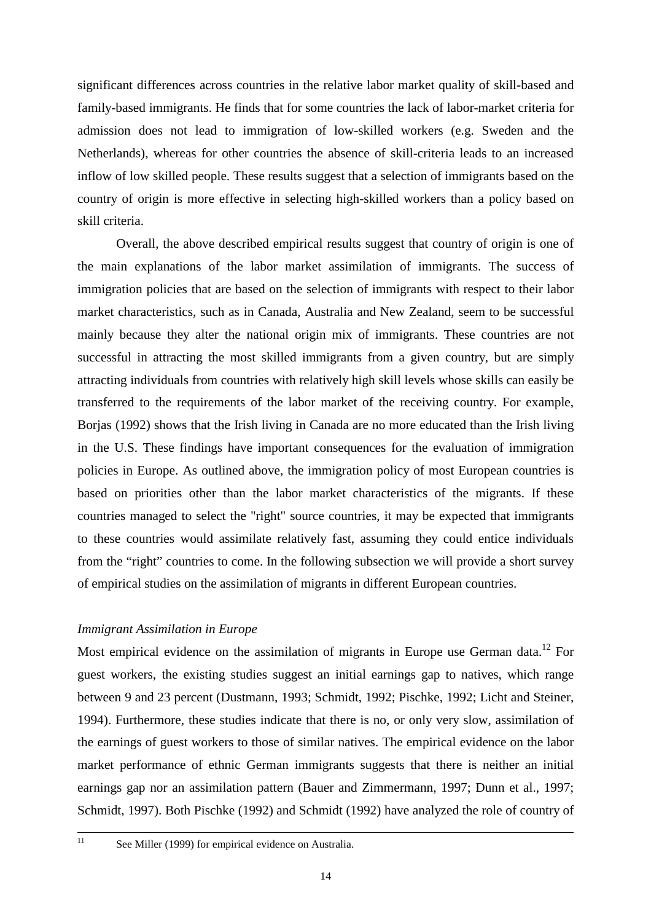significant differences across countries in the relative labor market quality of skill-based and family-based immigrants. He finds that for some countries the lack of labor-market criteria for admission does not lead to immigration of low-skilled workers (e.g. Sweden and the Netherlands), whereas for other countries the absence of skill-criteria leads to an increased inflow of low skilled people. These results suggest that a selection of immigrants based on the country of origin is more effective in selecting high-skilled workers than a policy based on skill criteria.

Overall, the above described empirical results suggest that country of origin is one of the main explanations of the labor market assimilation of immigrants. The success of immigration policies that are based on the selection of immigrants with respect to their labor market characteristics, such as in Canada, Australia and New Zealand, seem to be successful mainly because they alter the national origin mix of immigrants. These countries are not successful in attracting the most skilled immigrants from a given country, but are simply attracting individuals from countries with relatively high skill levels whose skills can easily be transferred to the requirements of the labor market of the receiving country. For example, Borjas (1992) shows that the Irish living in Canada are no more educated than the Irish living in the U.S. These findings have important consequences for the evaluation of immigration policies in Europe. As outlined above, the immigration policy of most European countries is based on priorities other than the labor market characteristics of the migrants. If these countries managed to select the "right" source countries, it may be expected that immigrants to these countries would assimilate relatively fast, assuming they could entice individuals from the "right" countries to come. In the following subsection we will provide a short survey of empirical studies on the assimilation of migrants in different European countries.

#### *Immigrant Assimilation in Europe*

Most empirical evidence on the assimilation of migrants in Europe use German data.<sup>12</sup> For guest workers, the existing studies suggest an initial earnings gap to natives, which range between 9 and 23 percent (Dustmann, 1993; Schmidt, 1992; Pischke, 1992; Licht and Steiner, 1994). Furthermore, these studies indicate that there is no, or only very slow, assimilation of the earnings of guest workers to those of similar natives. The empirical evidence on the labor market performance of ethnic German immigrants suggests that there is neither an initial earnings gap nor an assimilation pattern (Bauer and Zimmermann, 1997; Dunn et al., 1997; Schmidt, 1997). Both Pischke (1992) and Schmidt (1992) have analyzed the role of country of

<sup>&</sup>lt;sup>11</sup> See Miller (1999) for empirical evidence on Australia.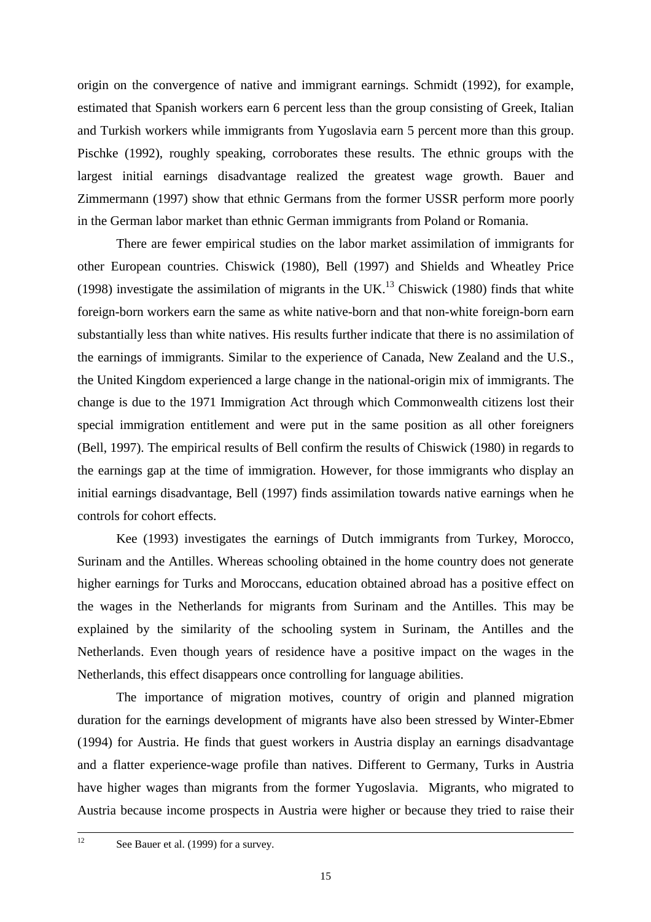origin on the convergence of native and immigrant earnings. Schmidt (1992), for example, estimated that Spanish workers earn 6 percent less than the group consisting of Greek, Italian and Turkish workers while immigrants from Yugoslavia earn 5 percent more than this group. Pischke (1992), roughly speaking, corroborates these results. The ethnic groups with the largest initial earnings disadvantage realized the greatest wage growth. Bauer and Zimmermann (1997) show that ethnic Germans from the former USSR perform more poorly in the German labor market than ethnic German immigrants from Poland or Romania.

There are fewer empirical studies on the labor market assimilation of immigrants for other European countries. Chiswick (1980), Bell (1997) and Shields and Wheatley Price (1998) investigate the assimilation of migrants in the UK.<sup>13</sup> Chiswick (1980) finds that white foreign-born workers earn the same as white native-born and that non-white foreign-born earn substantially less than white natives. His results further indicate that there is no assimilation of the earnings of immigrants. Similar to the experience of Canada, New Zealand and the U.S., the United Kingdom experienced a large change in the national-origin mix of immigrants. The change is due to the 1971 Immigration Act through which Commonwealth citizens lost their special immigration entitlement and were put in the same position as all other foreigners (Bell, 1997). The empirical results of Bell confirm the results of Chiswick (1980) in regards to the earnings gap at the time of immigration. However, for those immigrants who display an initial earnings disadvantage, Bell (1997) finds assimilation towards native earnings when he controls for cohort effects.

Kee (1993) investigates the earnings of Dutch immigrants from Turkey, Morocco, Surinam and the Antilles. Whereas schooling obtained in the home country does not generate higher earnings for Turks and Moroccans, education obtained abroad has a positive effect on the wages in the Netherlands for migrants from Surinam and the Antilles. This may be explained by the similarity of the schooling system in Surinam, the Antilles and the Netherlands. Even though years of residence have a positive impact on the wages in the Netherlands, this effect disappears once controlling for language abilities.

The importance of migration motives, country of origin and planned migration duration for the earnings development of migrants have also been stressed by Winter-Ebmer (1994) for Austria. He finds that guest workers in Austria display an earnings disadvantage and a flatter experience-wage profile than natives. Different to Germany, Turks in Austria have higher wages than migrants from the former Yugoslavia. Migrants, who migrated to Austria because income prospects in Austria were higher or because they tried to raise their

<sup>&</sup>lt;sup>12</sup> See Bauer et al. (1999) for a survey.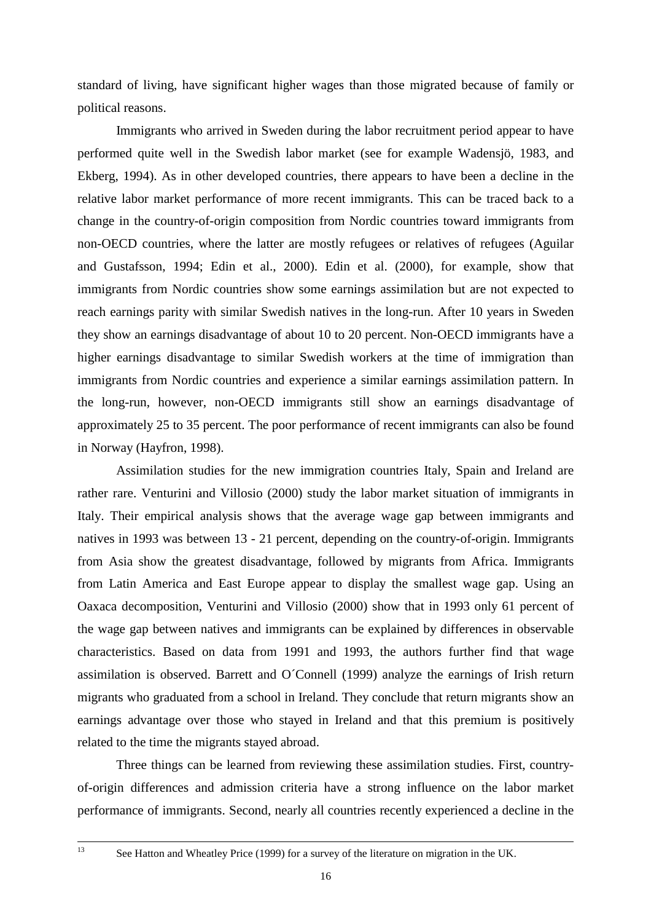standard of living, have significant higher wages than those migrated because of family or political reasons.

Immigrants who arrived in Sweden during the labor recruitment period appear to have performed quite well in the Swedish labor market (see for example Wadensjö, 1983, and Ekberg, 1994). As in other developed countries, there appears to have been a decline in the relative labor market performance of more recent immigrants. This can be traced back to a change in the country-of-origin composition from Nordic countries toward immigrants from non-OECD countries, where the latter are mostly refugees or relatives of refugees (Aguilar and Gustafsson, 1994; Edin et al., 2000). Edin et al. (2000), for example, show that immigrants from Nordic countries show some earnings assimilation but are not expected to reach earnings parity with similar Swedish natives in the long-run. After 10 years in Sweden they show an earnings disadvantage of about 10 to 20 percent. Non-OECD immigrants have a higher earnings disadvantage to similar Swedish workers at the time of immigration than immigrants from Nordic countries and experience a similar earnings assimilation pattern. In the long-run, however, non-OECD immigrants still show an earnings disadvantage of approximately 25 to 35 percent. The poor performance of recent immigrants can also be found in Norway (Hayfron, 1998).

Assimilation studies for the new immigration countries Italy, Spain and Ireland are rather rare. Venturini and Villosio (2000) study the labor market situation of immigrants in Italy. Their empirical analysis shows that the average wage gap between immigrants and natives in 1993 was between 13 - 21 percent, depending on the country-of-origin. Immigrants from Asia show the greatest disadvantage, followed by migrants from Africa. Immigrants from Latin America and East Europe appear to display the smallest wage gap. Using an Oaxaca decomposition, Venturini and Villosio (2000) show that in 1993 only 61 percent of the wage gap between natives and immigrants can be explained by differences in observable characteristics. Based on data from 1991 and 1993, the authors further find that wage assimilation is observed. Barrett and O´Connell (1999) analyze the earnings of Irish return migrants who graduated from a school in Ireland. They conclude that return migrants show an earnings advantage over those who stayed in Ireland and that this premium is positively related to the time the migrants stayed abroad.

Three things can be learned from reviewing these assimilation studies. First, countryof-origin differences and admission criteria have a strong influence on the labor market performance of immigrants. Second, nearly all countries recently experienced a decline in the

<sup>&</sup>lt;sup>13</sup> See Hatton and Wheatley Price (1999) for a survey of the literature on migration in the UK.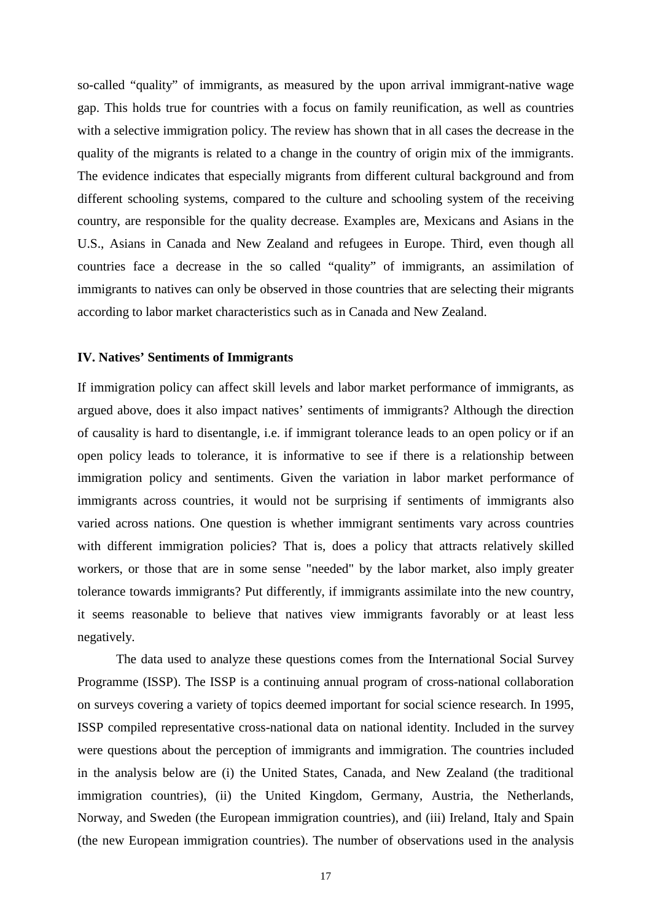so-called "quality" of immigrants, as measured by the upon arrival immigrant-native wage gap. This holds true for countries with a focus on family reunification, as well as countries with a selective immigration policy. The review has shown that in all cases the decrease in the quality of the migrants is related to a change in the country of origin mix of the immigrants. The evidence indicates that especially migrants from different cultural background and from different schooling systems, compared to the culture and schooling system of the receiving country, are responsible for the quality decrease. Examples are, Mexicans and Asians in the U.S., Asians in Canada and New Zealand and refugees in Europe. Third, even though all countries face a decrease in the so called "quality" of immigrants, an assimilation of immigrants to natives can only be observed in those countries that are selecting their migrants according to labor market characteristics such as in Canada and New Zealand.

#### **IV. Natives' Sentiments of Immigrants**

If immigration policy can affect skill levels and labor market performance of immigrants, as argued above, does it also impact natives' sentiments of immigrants? Although the direction of causality is hard to disentangle, i.e. if immigrant tolerance leads to an open policy or if an open policy leads to tolerance, it is informative to see if there is a relationship between immigration policy and sentiments. Given the variation in labor market performance of immigrants across countries, it would not be surprising if sentiments of immigrants also varied across nations. One question is whether immigrant sentiments vary across countries with different immigration policies? That is, does a policy that attracts relatively skilled workers, or those that are in some sense "needed" by the labor market, also imply greater tolerance towards immigrants? Put differently, if immigrants assimilate into the new country, it seems reasonable to believe that natives view immigrants favorably or at least less negatively.

The data used to analyze these questions comes from the International Social Survey Programme (ISSP). The ISSP is a continuing annual program of cross-national collaboration on surveys covering a variety of topics deemed important for social science research. In 1995, ISSP compiled representative cross-national data on national identity. Included in the survey were questions about the perception of immigrants and immigration. The countries included in the analysis below are (i) the United States, Canada, and New Zealand (the traditional immigration countries), (ii) the United Kingdom, Germany, Austria, the Netherlands, Norway, and Sweden (the European immigration countries), and (iii) Ireland, Italy and Spain (the new European immigration countries). The number of observations used in the analysis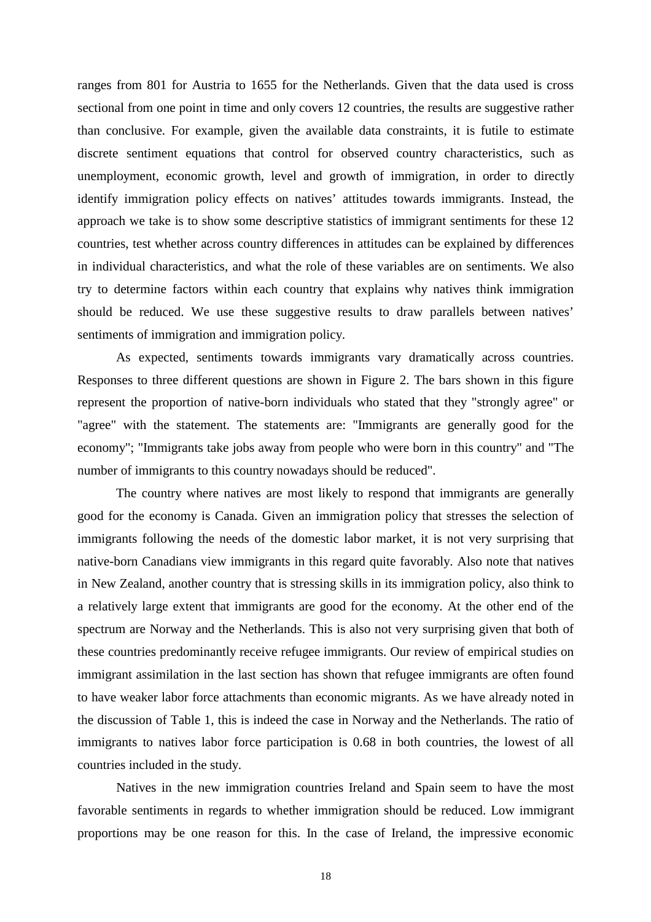ranges from 801 for Austria to 1655 for the Netherlands. Given that the data used is cross sectional from one point in time and only covers 12 countries, the results are suggestive rather than conclusive. For example, given the available data constraints, it is futile to estimate discrete sentiment equations that control for observed country characteristics, such as unemployment, economic growth, level and growth of immigration, in order to directly identify immigration policy effects on natives' attitudes towards immigrants. Instead, the approach we take is to show some descriptive statistics of immigrant sentiments for these 12 countries, test whether across country differences in attitudes can be explained by differences in individual characteristics, and what the role of these variables are on sentiments. We also try to determine factors within each country that explains why natives think immigration should be reduced. We use these suggestive results to draw parallels between natives' sentiments of immigration and immigration policy.

As expected, sentiments towards immigrants vary dramatically across countries. Responses to three different questions are shown in Figure 2. The bars shown in this figure represent the proportion of native-born individuals who stated that they "strongly agree" or "agree" with the statement. The statements are: "Immigrants are generally good for the economy"; "Immigrants take jobs away from people who were born in this country" and "The number of immigrants to this country nowadays should be reduced".

The country where natives are most likely to respond that immigrants are generally good for the economy is Canada. Given an immigration policy that stresses the selection of immigrants following the needs of the domestic labor market, it is not very surprising that native-born Canadians view immigrants in this regard quite favorably. Also note that natives in New Zealand, another country that is stressing skills in its immigration policy, also think to a relatively large extent that immigrants are good for the economy. At the other end of the spectrum are Norway and the Netherlands. This is also not very surprising given that both of these countries predominantly receive refugee immigrants. Our review of empirical studies on immigrant assimilation in the last section has shown that refugee immigrants are often found to have weaker labor force attachments than economic migrants. As we have already noted in the discussion of Table 1, this is indeed the case in Norway and the Netherlands. The ratio of immigrants to natives labor force participation is 0.68 in both countries, the lowest of all countries included in the study.

 Natives in the new immigration countries Ireland and Spain seem to have the most favorable sentiments in regards to whether immigration should be reduced. Low immigrant proportions may be one reason for this. In the case of Ireland, the impressive economic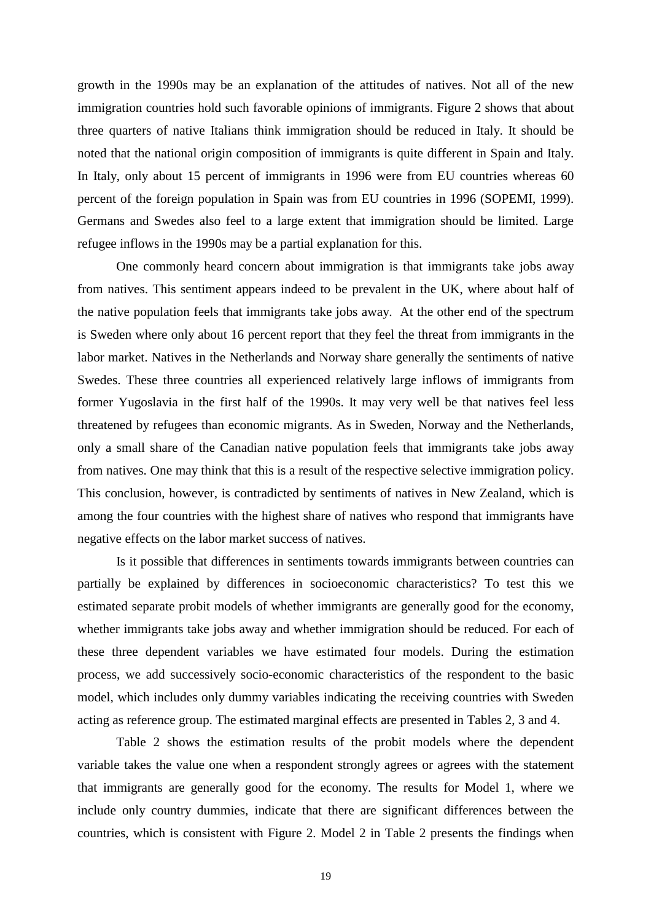growth in the 1990s may be an explanation of the attitudes of natives. Not all of the new immigration countries hold such favorable opinions of immigrants. Figure 2 shows that about three quarters of native Italians think immigration should be reduced in Italy. It should be noted that the national origin composition of immigrants is quite different in Spain and Italy. In Italy, only about 15 percent of immigrants in 1996 were from EU countries whereas 60 percent of the foreign population in Spain was from EU countries in 1996 (SOPEMI, 1999). Germans and Swedes also feel to a large extent that immigration should be limited. Large refugee inflows in the 1990s may be a partial explanation for this.

 One commonly heard concern about immigration is that immigrants take jobs away from natives. This sentiment appears indeed to be prevalent in the UK, where about half of the native population feels that immigrants take jobs away. At the other end of the spectrum is Sweden where only about 16 percent report that they feel the threat from immigrants in the labor market. Natives in the Netherlands and Norway share generally the sentiments of native Swedes. These three countries all experienced relatively large inflows of immigrants from former Yugoslavia in the first half of the 1990s. It may very well be that natives feel less threatened by refugees than economic migrants. As in Sweden, Norway and the Netherlands, only a small share of the Canadian native population feels that immigrants take jobs away from natives. One may think that this is a result of the respective selective immigration policy. This conclusion, however, is contradicted by sentiments of natives in New Zealand, which is among the four countries with the highest share of natives who respond that immigrants have negative effects on the labor market success of natives.

 Is it possible that differences in sentiments towards immigrants between countries can partially be explained by differences in socioeconomic characteristics? To test this we estimated separate probit models of whether immigrants are generally good for the economy, whether immigrants take jobs away and whether immigration should be reduced. For each of these three dependent variables we have estimated four models. During the estimation process, we add successively socio-economic characteristics of the respondent to the basic model, which includes only dummy variables indicating the receiving countries with Sweden acting as reference group. The estimated marginal effects are presented in Tables 2, 3 and 4.

 Table 2 shows the estimation results of the probit models where the dependent variable takes the value one when a respondent strongly agrees or agrees with the statement that immigrants are generally good for the economy. The results for Model 1, where we include only country dummies, indicate that there are significant differences between the countries, which is consistent with Figure 2. Model 2 in Table 2 presents the findings when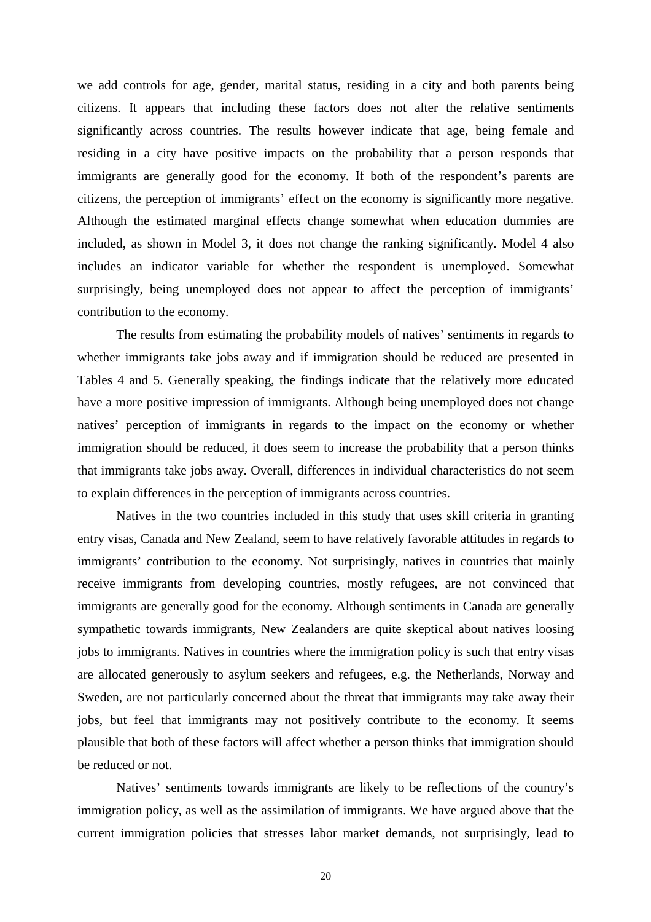we add controls for age, gender, marital status, residing in a city and both parents being citizens. It appears that including these factors does not alter the relative sentiments significantly across countries. The results however indicate that age, being female and residing in a city have positive impacts on the probability that a person responds that immigrants are generally good for the economy. If both of the respondent's parents are citizens, the perception of immigrants' effect on the economy is significantly more negative. Although the estimated marginal effects change somewhat when education dummies are included, as shown in Model 3, it does not change the ranking significantly. Model 4 also includes an indicator variable for whether the respondent is unemployed. Somewhat surprisingly, being unemployed does not appear to affect the perception of immigrants' contribution to the economy.

The results from estimating the probability models of natives' sentiments in regards to whether immigrants take jobs away and if immigration should be reduced are presented in Tables 4 and 5. Generally speaking, the findings indicate that the relatively more educated have a more positive impression of immigrants. Although being unemployed does not change natives' perception of immigrants in regards to the impact on the economy or whether immigration should be reduced, it does seem to increase the probability that a person thinks that immigrants take jobs away. Overall, differences in individual characteristics do not seem to explain differences in the perception of immigrants across countries.

Natives in the two countries included in this study that uses skill criteria in granting entry visas, Canada and New Zealand, seem to have relatively favorable attitudes in regards to immigrants' contribution to the economy. Not surprisingly, natives in countries that mainly receive immigrants from developing countries, mostly refugees, are not convinced that immigrants are generally good for the economy. Although sentiments in Canada are generally sympathetic towards immigrants, New Zealanders are quite skeptical about natives loosing jobs to immigrants. Natives in countries where the immigration policy is such that entry visas are allocated generously to asylum seekers and refugees, e.g. the Netherlands, Norway and Sweden, are not particularly concerned about the threat that immigrants may take away their jobs, but feel that immigrants may not positively contribute to the economy. It seems plausible that both of these factors will affect whether a person thinks that immigration should be reduced or not.

Natives' sentiments towards immigrants are likely to be reflections of the country's immigration policy, as well as the assimilation of immigrants. We have argued above that the current immigration policies that stresses labor market demands, not surprisingly, lead to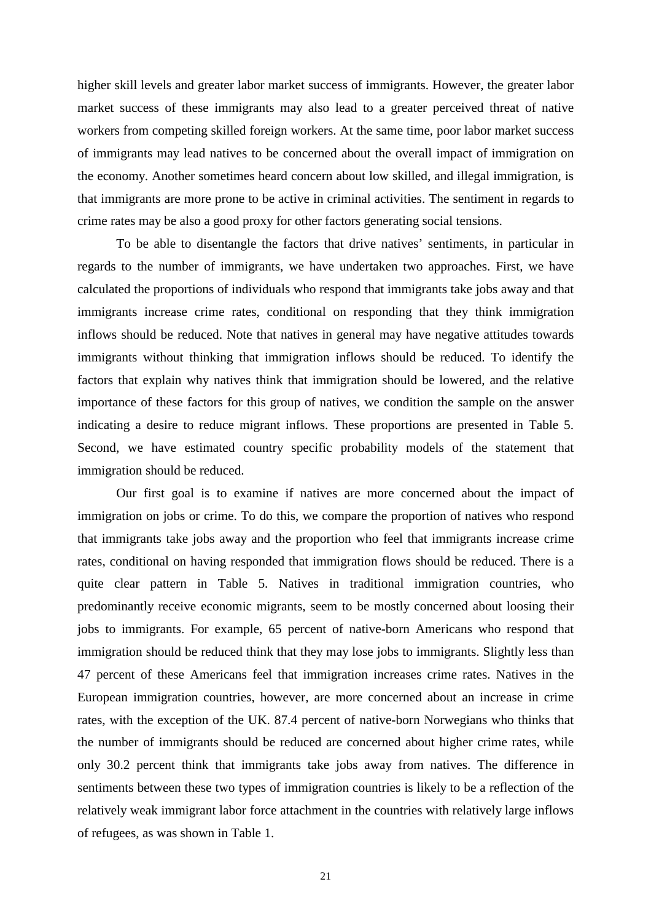higher skill levels and greater labor market success of immigrants. However, the greater labor market success of these immigrants may also lead to a greater perceived threat of native workers from competing skilled foreign workers. At the same time, poor labor market success of immigrants may lead natives to be concerned about the overall impact of immigration on the economy. Another sometimes heard concern about low skilled, and illegal immigration, is that immigrants are more prone to be active in criminal activities. The sentiment in regards to crime rates may be also a good proxy for other factors generating social tensions.

To be able to disentangle the factors that drive natives' sentiments, in particular in regards to the number of immigrants, we have undertaken two approaches. First, we have calculated the proportions of individuals who respond that immigrants take jobs away and that immigrants increase crime rates, conditional on responding that they think immigration inflows should be reduced. Note that natives in general may have negative attitudes towards immigrants without thinking that immigration inflows should be reduced. To identify the factors that explain why natives think that immigration should be lowered, and the relative importance of these factors for this group of natives, we condition the sample on the answer indicating a desire to reduce migrant inflows. These proportions are presented in Table 5. Second, we have estimated country specific probability models of the statement that immigration should be reduced.

Our first goal is to examine if natives are more concerned about the impact of immigration on jobs or crime. To do this, we compare the proportion of natives who respond that immigrants take jobs away and the proportion who feel that immigrants increase crime rates, conditional on having responded that immigration flows should be reduced. There is a quite clear pattern in Table 5. Natives in traditional immigration countries, who predominantly receive economic migrants, seem to be mostly concerned about loosing their jobs to immigrants. For example, 65 percent of native-born Americans who respond that immigration should be reduced think that they may lose jobs to immigrants. Slightly less than 47 percent of these Americans feel that immigration increases crime rates. Natives in the European immigration countries, however, are more concerned about an increase in crime rates, with the exception of the UK. 87.4 percent of native-born Norwegians who thinks that the number of immigrants should be reduced are concerned about higher crime rates, while only 30.2 percent think that immigrants take jobs away from natives. The difference in sentiments between these two types of immigration countries is likely to be a reflection of the relatively weak immigrant labor force attachment in the countries with relatively large inflows of refugees, as was shown in Table 1.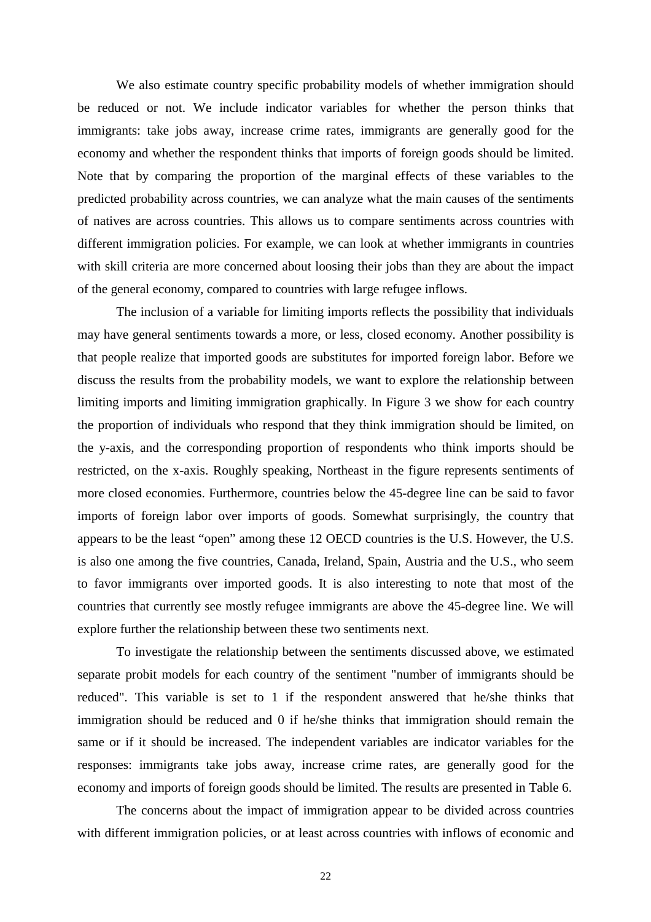We also estimate country specific probability models of whether immigration should be reduced or not. We include indicator variables for whether the person thinks that immigrants: take jobs away, increase crime rates, immigrants are generally good for the economy and whether the respondent thinks that imports of foreign goods should be limited. Note that by comparing the proportion of the marginal effects of these variables to the predicted probability across countries, we can analyze what the main causes of the sentiments of natives are across countries. This allows us to compare sentiments across countries with different immigration policies. For example, we can look at whether immigrants in countries with skill criteria are more concerned about loosing their jobs than they are about the impact of the general economy, compared to countries with large refugee inflows.

The inclusion of a variable for limiting imports reflects the possibility that individuals may have general sentiments towards a more, or less, closed economy. Another possibility is that people realize that imported goods are substitutes for imported foreign labor. Before we discuss the results from the probability models, we want to explore the relationship between limiting imports and limiting immigration graphically. In Figure 3 we show for each country the proportion of individuals who respond that they think immigration should be limited, on the y-axis, and the corresponding proportion of respondents who think imports should be restricted, on the x-axis. Roughly speaking, Northeast in the figure represents sentiments of more closed economies. Furthermore, countries below the 45-degree line can be said to favor imports of foreign labor over imports of goods. Somewhat surprisingly, the country that appears to be the least "open" among these 12 OECD countries is the U.S. However, the U.S. is also one among the five countries, Canada, Ireland, Spain, Austria and the U.S., who seem to favor immigrants over imported goods. It is also interesting to note that most of the countries that currently see mostly refugee immigrants are above the 45-degree line. We will explore further the relationship between these two sentiments next.

To investigate the relationship between the sentiments discussed above, we estimated separate probit models for each country of the sentiment "number of immigrants should be reduced". This variable is set to 1 if the respondent answered that he/she thinks that immigration should be reduced and 0 if he/she thinks that immigration should remain the same or if it should be increased. The independent variables are indicator variables for the responses: immigrants take jobs away, increase crime rates, are generally good for the economy and imports of foreign goods should be limited. The results are presented in Table 6.

The concerns about the impact of immigration appear to be divided across countries with different immigration policies, or at least across countries with inflows of economic and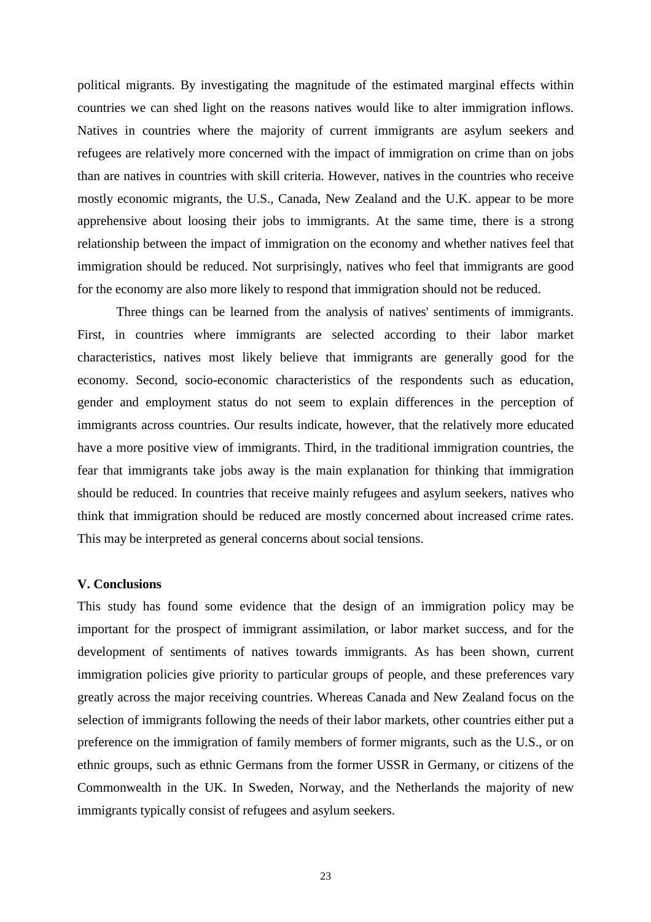political migrants. By investigating the magnitude of the estimated marginal effects within countries we can shed light on the reasons natives would like to alter immigration inflows. Natives in countries where the majority of current immigrants are asylum seekers and refugees are relatively more concerned with the impact of immigration on crime than on jobs than are natives in countries with skill criteria. However, natives in the countries who receive mostly economic migrants, the U.S., Canada, New Zealand and the U.K. appear to be more apprehensive about loosing their jobs to immigrants. At the same time, there is a strong relationship between the impact of immigration on the economy and whether natives feel that immigration should be reduced. Not surprisingly, natives who feel that immigrants are good for the economy are also more likely to respond that immigration should not be reduced.

Three things can be learned from the analysis of natives' sentiments of immigrants. First, in countries where immigrants are selected according to their labor market characteristics, natives most likely believe that immigrants are generally good for the economy. Second, socio-economic characteristics of the respondents such as education, gender and employment status do not seem to explain differences in the perception of immigrants across countries. Our results indicate, however, that the relatively more educated have a more positive view of immigrants. Third, in the traditional immigration countries, the fear that immigrants take jobs away is the main explanation for thinking that immigration should be reduced. In countries that receive mainly refugees and asylum seekers, natives who think that immigration should be reduced are mostly concerned about increased crime rates. This may be interpreted as general concerns about social tensions.

#### **V. Conclusions**

This study has found some evidence that the design of an immigration policy may be important for the prospect of immigrant assimilation, or labor market success, and for the development of sentiments of natives towards immigrants. As has been shown, current immigration policies give priority to particular groups of people, and these preferences vary greatly across the major receiving countries. Whereas Canada and New Zealand focus on the selection of immigrants following the needs of their labor markets, other countries either put a preference on the immigration of family members of former migrants, such as the U.S., or on ethnic groups, such as ethnic Germans from the former USSR in Germany, or citizens of the Commonwealth in the UK. In Sweden, Norway, and the Netherlands the majority of new immigrants typically consist of refugees and asylum seekers.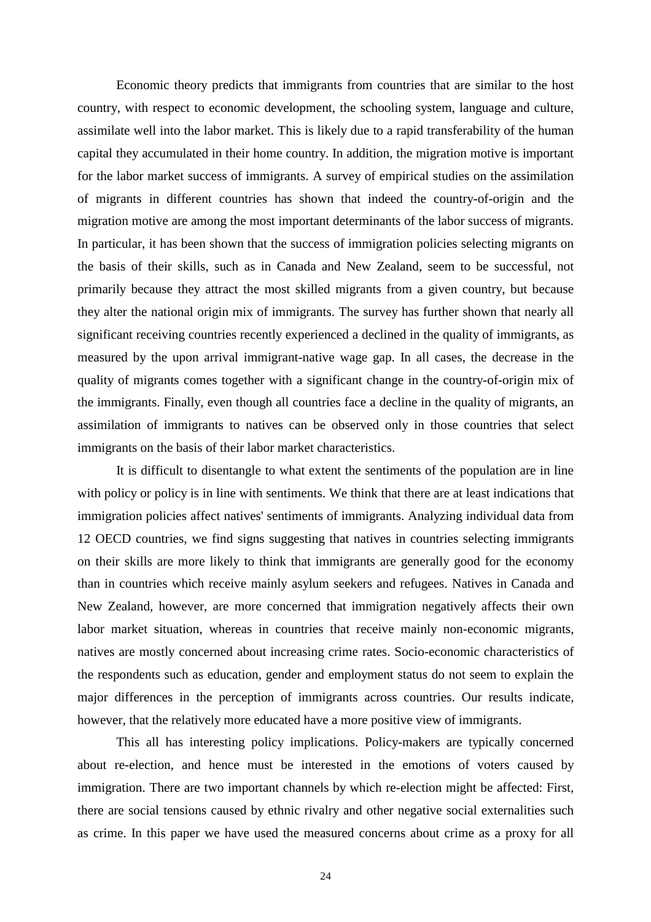Economic theory predicts that immigrants from countries that are similar to the host country, with respect to economic development, the schooling system, language and culture, assimilate well into the labor market. This is likely due to a rapid transferability of the human capital they accumulated in their home country. In addition, the migration motive is important for the labor market success of immigrants. A survey of empirical studies on the assimilation of migrants in different countries has shown that indeed the country-of-origin and the migration motive are among the most important determinants of the labor success of migrants. In particular, it has been shown that the success of immigration policies selecting migrants on the basis of their skills, such as in Canada and New Zealand, seem to be successful, not primarily because they attract the most skilled migrants from a given country, but because they alter the national origin mix of immigrants. The survey has further shown that nearly all significant receiving countries recently experienced a declined in the quality of immigrants, as measured by the upon arrival immigrant-native wage gap. In all cases, the decrease in the quality of migrants comes together with a significant change in the country-of-origin mix of the immigrants. Finally, even though all countries face a decline in the quality of migrants, an assimilation of immigrants to natives can be observed only in those countries that select immigrants on the basis of their labor market characteristics.

It is difficult to disentangle to what extent the sentiments of the population are in line with policy or policy is in line with sentiments. We think that there are at least indications that immigration policies affect natives' sentiments of immigrants. Analyzing individual data from 12 OECD countries, we find signs suggesting that natives in countries selecting immigrants on their skills are more likely to think that immigrants are generally good for the economy than in countries which receive mainly asylum seekers and refugees. Natives in Canada and New Zealand, however, are more concerned that immigration negatively affects their own labor market situation, whereas in countries that receive mainly non-economic migrants, natives are mostly concerned about increasing crime rates. Socio-economic characteristics of the respondents such as education, gender and employment status do not seem to explain the major differences in the perception of immigrants across countries. Our results indicate, however, that the relatively more educated have a more positive view of immigrants.

This all has interesting policy implications. Policy-makers are typically concerned about re-election, and hence must be interested in the emotions of voters caused by immigration. There are two important channels by which re-election might be affected: First, there are social tensions caused by ethnic rivalry and other negative social externalities such as crime. In this paper we have used the measured concerns about crime as a proxy for all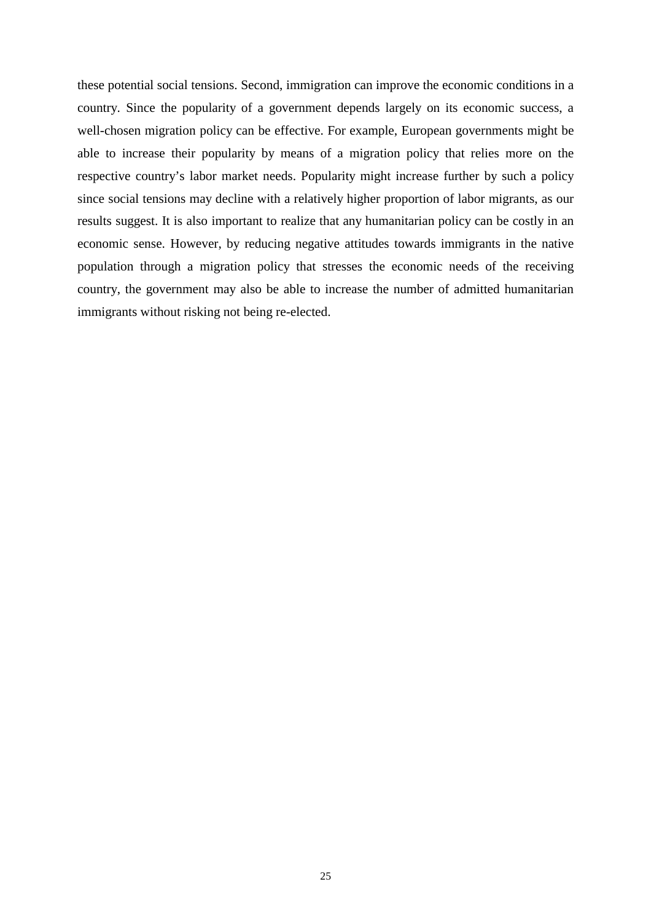these potential social tensions. Second, immigration can improve the economic conditions in a country. Since the popularity of a government depends largely on its economic success, a well-chosen migration policy can be effective. For example, European governments might be able to increase their popularity by means of a migration policy that relies more on the respective country's labor market needs. Popularity might increase further by such a policy since social tensions may decline with a relatively higher proportion of labor migrants, as our results suggest. It is also important to realize that any humanitarian policy can be costly in an economic sense. However, by reducing negative attitudes towards immigrants in the native population through a migration policy that stresses the economic needs of the receiving country, the government may also be able to increase the number of admitted humanitarian immigrants without risking not being re-elected.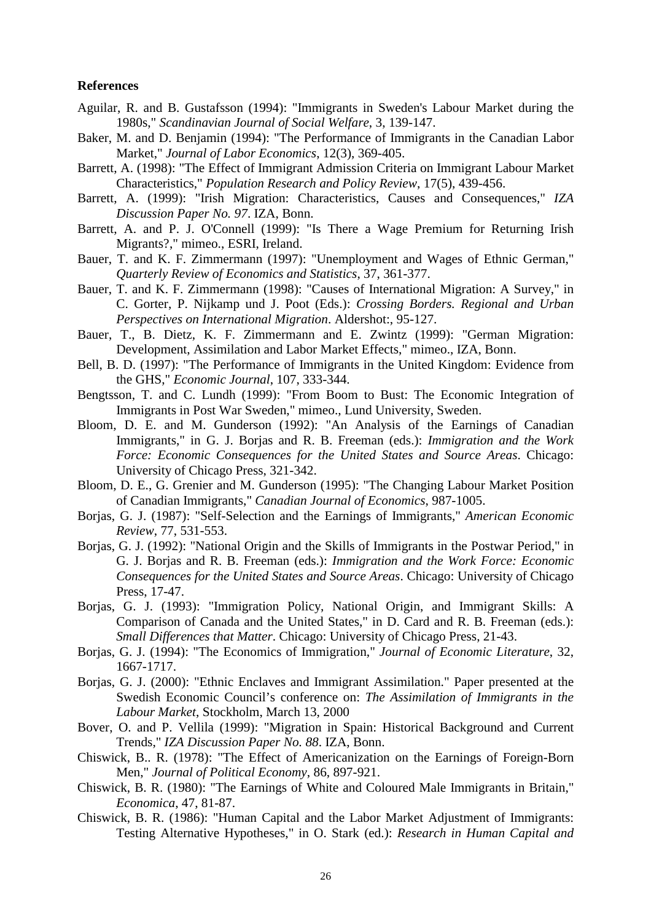#### **References**

- Aguilar, R. and B. Gustafsson (1994): "Immigrants in Sweden's Labour Market during the 1980s," *Scandinavian Journal of Social Welfare*, 3, 139-147.
- Baker, M. and D. Benjamin (1994): "The Performance of Immigrants in the Canadian Labor Market," *Journal of Labor Economics*, 12(3), 369-405.
- Barrett, A. (1998): "The Effect of Immigrant Admission Criteria on Immigrant Labour Market Characteristics," *Population Research and Policy Review*, 17(5), 439-456.
- Barrett, A. (1999): "Irish Migration: Characteristics, Causes and Consequences," *IZA Discussion Paper No. 97*. IZA, Bonn.
- Barrett, A. and P. J. O'Connell (1999): "Is There a Wage Premium for Returning Irish Migrants?," mimeo., ESRI, Ireland.
- Bauer, T. and K. F. Zimmermann (1997): "Unemployment and Wages of Ethnic German," *Quarterly Review of Economics and Statistics*, 37, 361-377.
- Bauer, T. and K. F. Zimmermann (1998): "Causes of International Migration: A Survey," in C. Gorter, P. Nijkamp und J. Poot (Eds.): *Crossing Borders. Regional and Urban Perspectives on International Migration*. Aldershot:, 95-127.
- Bauer, T., B. Dietz, K. F. Zimmermann and E. Zwintz (1999): "German Migration: Development, Assimilation and Labor Market Effects," mimeo., IZA, Bonn.
- Bell, B. D. (1997): "The Performance of Immigrants in the United Kingdom: Evidence from the GHS," *Economic Journal*, 107, 333-344.
- Bengtsson, T. and C. Lundh (1999): "From Boom to Bust: The Economic Integration of Immigrants in Post War Sweden," mimeo., Lund University, Sweden.
- Bloom, D. E. and M. Gunderson (1992): "An Analysis of the Earnings of Canadian Immigrants," in G. J. Borjas and R. B. Freeman (eds.): *Immigration and the Work Force: Economic Consequences for the United States and Source Areas*. Chicago: University of Chicago Press, 321-342.
- Bloom, D. E., G. Grenier and M. Gunderson (1995): "The Changing Labour Market Position of Canadian Immigrants," *Canadian Journal of Economics*, 987-1005.
- Borjas, G. J. (1987): "Self-Selection and the Earnings of Immigrants," *American Economic Review*, 77, 531-553.
- Borjas, G. J. (1992): "National Origin and the Skills of Immigrants in the Postwar Period," in G. J. Borjas and R. B. Freeman (eds.): *Immigration and the Work Force: Economic Consequences for the United States and Source Areas*. Chicago: University of Chicago Press, 17-47.
- Borjas, G. J. (1993): "Immigration Policy, National Origin, and Immigrant Skills: A Comparison of Canada and the United States," in D. Card and R. B. Freeman (eds.): *Small Differences that Matter*. Chicago: University of Chicago Press, 21-43.
- Borjas, G. J. (1994): "The Economics of Immigration," *Journal of Economic Literature*, 32, 1667-1717.
- Borjas, G. J. (2000): "Ethnic Enclaves and Immigrant Assimilation." Paper presented at the Swedish Economic Council's conference on: *The Assimilation of Immigrants in the Labour Market*, Stockholm, March 13, 2000
- Bover, O. and P. Vellila (1999): "Migration in Spain: Historical Background and Current Trends," *IZA Discussion Paper No. 88*. IZA, Bonn.
- Chiswick, B.. R. (1978): "The Effect of Americanization on the Earnings of Foreign-Born Men," *Journal of Political Economy*, 86, 897-921.
- Chiswick, B. R. (1980): "The Earnings of White and Coloured Male Immigrants in Britain," *Economica*, 47, 81-87.
- Chiswick, B. R. (1986): "Human Capital and the Labor Market Adjustment of Immigrants: Testing Alternative Hypotheses," in O. Stark (ed.): *Research in Human Capital and*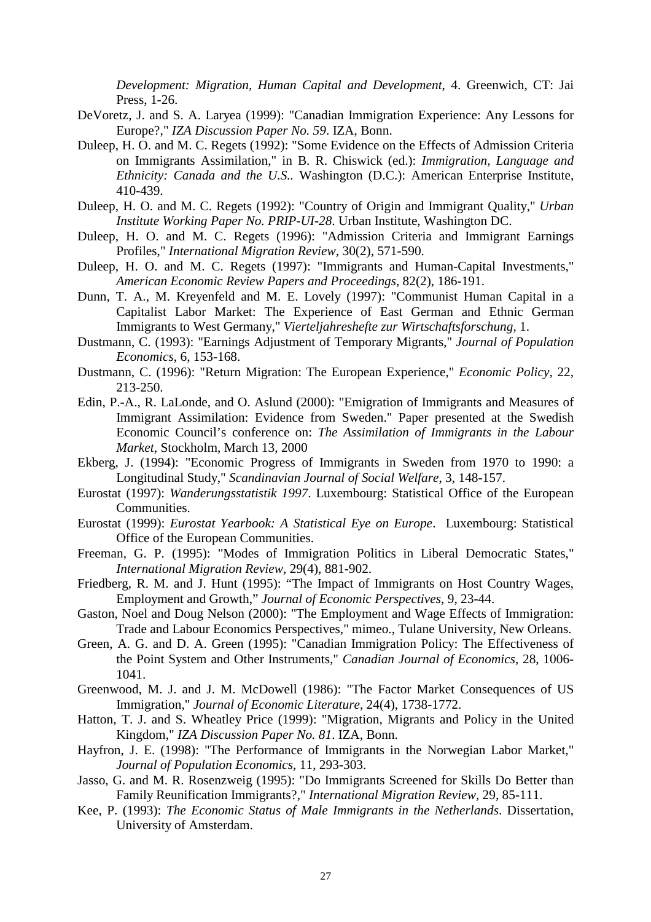*Development: Migration, Human Capital and Development*, 4. Greenwich, CT: Jai Press, 1-26.

- DeVoretz, J. and S. A. Laryea (1999): "Canadian Immigration Experience: Any Lessons for Europe?," *IZA Discussion Paper No. 59*. IZA, Bonn.
- Duleep, H. O. and M. C. Regets (1992): "Some Evidence on the Effects of Admission Criteria on Immigrants Assimilation," in B. R. Chiswick (ed.): *Immigration, Language and Ethnicity: Canada and the U.S..* Washington (D.C.): American Enterprise Institute, 410-439.
- Duleep, H. O. and M. C. Regets (1992): "Country of Origin and Immigrant Quality," *Urban Institute Working Paper No. PRIP-UI-28*. Urban Institute, Washington DC.
- Duleep, H. O. and M. C. Regets (1996): "Admission Criteria and Immigrant Earnings Profiles," *International Migration Review*, 30(2), 571-590.
- Duleep, H. O. and M. C. Regets (1997): "Immigrants and Human-Capital Investments," *American Economic Review Papers and Proceedings*, 82(2), 186-191.
- Dunn, T. A., M. Kreyenfeld and M. E. Lovely (1997): "Communist Human Capital in a Capitalist Labor Market: The Experience of East German and Ethnic German Immigrants to West Germany," *Vierteljahreshefte zur Wirtschaftsforschung*, 1.
- Dustmann, C. (1993): "Earnings Adjustment of Temporary Migrants," *Journal of Population Economics*, 6, 153-168.
- Dustmann, C. (1996): "Return Migration: The European Experience," *Economic Policy*, 22, 213-250.
- Edin, P.-A., R. LaLonde, and O. Aslund (2000): "Emigration of Immigrants and Measures of Immigrant Assimilation: Evidence from Sweden." Paper presented at the Swedish Economic Council's conference on: *The Assimilation of Immigrants in the Labour Market*, Stockholm, March 13, 2000
- Ekberg, J. (1994): "Economic Progress of Immigrants in Sweden from 1970 to 1990: a Longitudinal Study," *Scandinavian Journal of Social Welfare*, 3, 148-157.
- Eurostat (1997): *Wanderungsstatistik 1997*. Luxembourg: Statistical Office of the European Communities.
- Eurostat (1999): *Eurostat Yearbook: A Statistical Eye on Europe*. Luxembourg: Statistical Office of the European Communities.
- Freeman, G. P. (1995): "Modes of Immigration Politics in Liberal Democratic States," *International Migration Review*, 29(4), 881-902.
- Friedberg, R. M. and J. Hunt (1995): "The Impact of Immigrants on Host Country Wages, Employment and Growth," *Journal of Economic Perspectives*, 9, 23-44.
- Gaston, Noel and Doug Nelson (2000): "The Employment and Wage Effects of Immigration: Trade and Labour Economics Perspectives," mimeo., Tulane University, New Orleans.
- Green, A. G. and D. A. Green (1995): "Canadian Immigration Policy: The Effectiveness of the Point System and Other Instruments," *Canadian Journal of Economics,* 28, 1006- 1041.
- Greenwood, M. J. and J. M. McDowell (1986): "The Factor Market Consequences of US Immigration," *Journal of Economic Literature*, 24(4), 1738-1772.
- Hatton, T. J. and S. Wheatley Price (1999): "Migration, Migrants and Policy in the United Kingdom," *IZA Discussion Paper No. 81*. IZA, Bonn.
- Hayfron, J. E. (1998): "The Performance of Immigrants in the Norwegian Labor Market," *Journal of Population Economics*, 11, 293-303.
- Jasso, G. and M. R. Rosenzweig (1995): "Do Immigrants Screened for Skills Do Better than Family Reunification Immigrants?," *International Migration Review,* 29, 85-111.
- Kee, P. (1993): *The Economic Status of Male Immigrants in the Netherlands*. Dissertation, University of Amsterdam.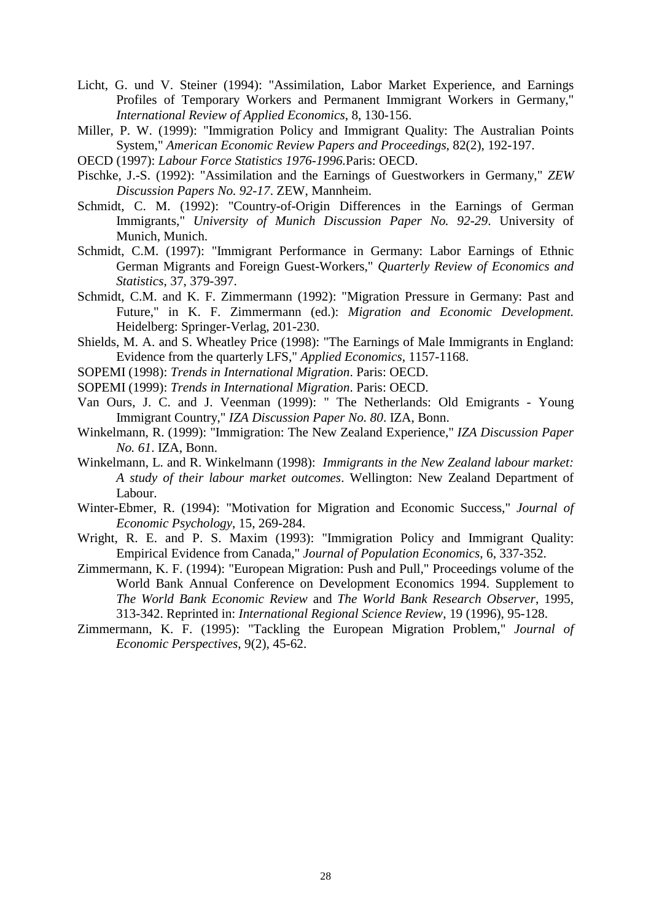- Licht, G. und V. Steiner (1994): "Assimilation, Labor Market Experience, and Earnings Profiles of Temporary Workers and Permanent Immigrant Workers in Germany," *International Review of Applied Economics*, 8, 130-156.
- Miller, P. W. (1999): "Immigration Policy and Immigrant Quality: The Australian Points System," *American Economic Review Papers and Proceedings*, 82(2), 192-197.
- OECD (1997): *Labour Force Statistics 1976-1996.*Paris: OECD.
- Pischke, J.-S. (1992): "Assimilation and the Earnings of Guestworkers in Germany," *ZEW Discussion Papers No. 92-17*. ZEW, Mannheim.
- Schmidt, C. M. (1992): "Country-of-Origin Differences in the Earnings of German Immigrants," *University of Munich Discussion Paper No. 92-29*. University of Munich, Munich.
- Schmidt, C.M. (1997): "Immigrant Performance in Germany: Labor Earnings of Ethnic German Migrants and Foreign Guest-Workers," *Quarterly Review of Economics and Statistics*, 37, 379-397.
- Schmidt, C.M. and K. F. Zimmermann (1992): "Migration Pressure in Germany: Past and Future," in K. F. Zimmermann (ed.): *Migration and Economic Development.* Heidelberg: Springer-Verlag, 201-230.
- Shields, M. A. and S. Wheatley Price (1998): "The Earnings of Male Immigrants in England: Evidence from the quarterly LFS," *Applied Economics*, 1157-1168.
- SOPEMI (1998): *Trends in International Migration*. Paris: OECD.
- SOPEMI (1999): *Trends in International Migration*. Paris: OECD.
- Van Ours, J. C. and J. Veenman (1999): " The Netherlands: Old Emigrants Young Immigrant Country," *IZA Discussion Paper No. 80*. IZA, Bonn.
- Winkelmann, R. (1999): "Immigration: The New Zealand Experience," *IZA Discussion Paper No. 61*. IZA, Bonn.
- Winkelmann, L. and R. Winkelmann (1998): *Immigrants in the New Zealand labour market: A study of their labour market outcomes*. Wellington: New Zealand Department of Labour.
- Winter-Ebmer, R. (1994): "Motivation for Migration and Economic Success," *Journal of Economic Psychology*, 15, 269-284.
- Wright, R. E. and P. S. Maxim (1993): "Immigration Policy and Immigrant Quality: Empirical Evidence from Canada," *Journal of Population Economics*, 6, 337-352.
- Zimmermann, K. F. (1994): "European Migration: Push and Pull," Proceedings volume of the World Bank Annual Conference on Development Economics 1994. Supplement to *The World Bank Economic Review* and *The World Bank Research Observer*, 1995, 313-342. Reprinted in: *International Regional Science Review*, 19 (1996), 95-128.
- Zimmermann, K. F. (1995): "Tackling the European Migration Problem," *Journal of Economic Perspectives*, 9(2), 45-62.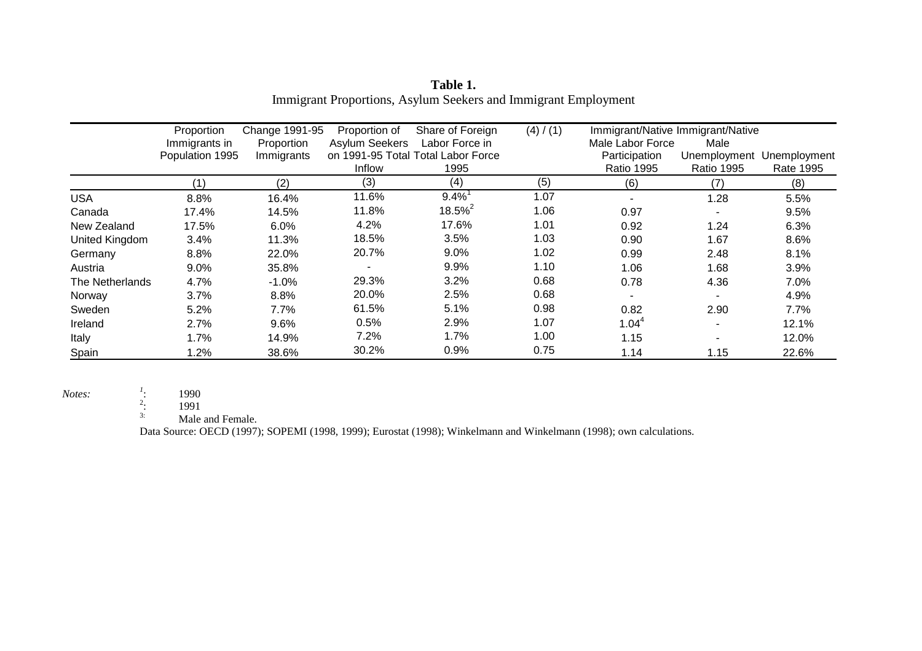|                 | Proportion      | Change 1991-95 | Proportion of         | Share of Foreign                   | (4) / (1) |                   | Immigrant/Native Immigrant/Native |              |
|-----------------|-----------------|----------------|-----------------------|------------------------------------|-----------|-------------------|-----------------------------------|--------------|
|                 | Immigrants in   | Proportion     | <b>Asylum Seekers</b> | Labor Force in                     |           | Male Labor Force  | Male                              |              |
|                 | Population 1995 | Immigrants     |                       | on 1991-95 Total Total Labor Force |           | Participation     | Unemployment                      | Unemployment |
|                 |                 |                | Inflow                | 1995                               |           | <b>Ratio 1995</b> | <b>Ratio 1995</b>                 | Rate 1995    |
|                 | (1)             | (2)            | (3)                   | (4)                                | (5)       | (6)               | (7)                               | (8)          |
| <b>USA</b>      | 8.8%            | 16.4%          | 11.6%                 | $9.4\%$ <sup>1</sup>               | 1.07      |                   | 1.28                              | 5.5%         |
| Canada          | 17.4%           | 14.5%          | 11.8%                 | $18.5\%$ <sup>2</sup>              | 1.06      | 0.97              |                                   | 9.5%         |
| New Zealand     | 17.5%           | 6.0%           | 4.2%                  | 17.6%                              | 1.01      | 0.92              | 1.24                              | 6.3%         |
| United Kingdom  | 3.4%            | 11.3%          | 18.5%                 | 3.5%                               | 1.03      | 0.90              | 1.67                              | 8.6%         |
| Germany         | 8.8%            | 22.0%          | 20.7%                 | 9.0%                               | 1.02      | 0.99              | 2.48                              | 8.1%         |
| Austria         | 9.0%            | 35.8%          |                       | 9.9%                               | 1.10      | 1.06              | 1.68                              | 3.9%         |
| The Netherlands | 4.7%            | $-1.0%$        | 29.3%                 | 3.2%                               | 0.68      | 0.78              | 4.36                              | 7.0%         |
| Norway          | 3.7%            | 8.8%           | 20.0%                 | 2.5%                               | 0.68      |                   |                                   | 4.9%         |
| Sweden          | 5.2%            | 7.7%           | 61.5%                 | 5.1%                               | 0.98      | 0.82              | 2.90                              | 7.7%         |
| Ireland         | 2.7%            | 9.6%           | 0.5%                  | 2.9%                               | 1.07      | $1.04^{4}$        |                                   | 12.1%        |
| Italy           | 1.7%            | 14.9%          | 7.2%                  | 1.7%                               | 1.00      | 1.15              |                                   | 12.0%        |
| Spain           | $.2\%$          | 38.6%          | 30.2%                 | 0.9%                               | 0.75      | 1.14              | 1.15                              | 22.6%        |

**Table 1.**  Immigrant Proportions, Asylum Seekers and Immigrant Employment

*Notes:*  $\begin{array}{ccc} \n\frac{1}{2} & 1990 \\
\frac{2}{3} & 1991 \\
\frac{1}{3} & \frac{1}{9} \n\end{array}$ 2: 1991

Male and Female.

Data Source: OECD (1997); SOPEMI (1998, 1999); Eurostat (1998); Winkelmann and Winkelmann (1998); own calculations.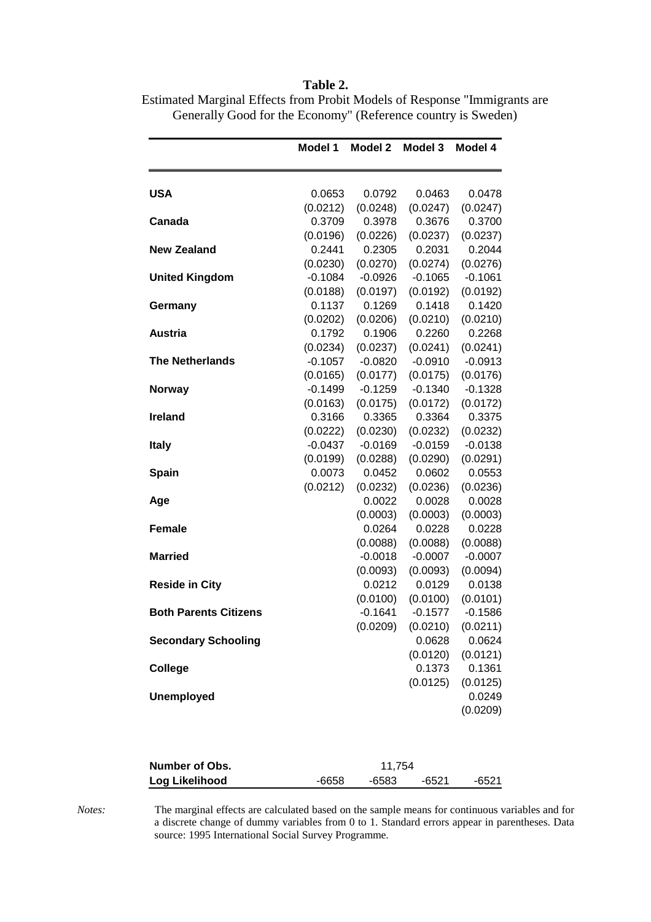|                              | Model 1   | Model 2   | Model 3   | Model 4   |
|------------------------------|-----------|-----------|-----------|-----------|
| <b>USA</b>                   | 0.0653    | 0.0792    | 0.0463    | 0.0478    |
|                              | (0.0212)  | (0.0248)  | (0.0247)  | (0.0247)  |
| Canada                       | 0.3709    | 0.3978    | 0.3676    | 0.3700    |
|                              | (0.0196)  | (0.0226)  | (0.0237)  | (0.0237)  |
| <b>New Zealand</b>           | 0.2441    | 0.2305    | 0.2031    | 0.2044    |
|                              | (0.0230)  | (0.0270)  | (0.0274)  | (0.0276)  |
| <b>United Kingdom</b>        | $-0.1084$ | $-0.0926$ | $-0.1065$ | $-0.1061$ |
|                              | (0.0188)  | (0.0197)  | (0.0192)  | (0.0192)  |
| Germany                      | 0.1137    | 0.1269    | 0.1418    | 0.1420    |
|                              | (0.0202)  | (0.0206)  | (0.0210)  | (0.0210)  |
| Austria                      | 0.1792    | 0.1906    | 0.2260    | 0.2268    |
|                              | (0.0234)  | (0.0237)  | (0.0241)  | (0.0241)  |
| <b>The Netherlands</b>       | $-0.1057$ | $-0.0820$ | $-0.0910$ | $-0.0913$ |
|                              | (0.0165)  | (0.0177)  | (0.0175)  | (0.0176)  |
| <b>Norway</b>                | $-0.1499$ | $-0.1259$ | $-0.1340$ | $-0.1328$ |
|                              | (0.0163)  | (0.0175)  | (0.0172)  | (0.0172)  |
| <b>Ireland</b>               | 0.3166    | 0.3365    | 0.3364    | 0.3375    |
|                              | (0.0222)  | (0.0230)  | (0.0232)  | (0.0232)  |
| <b>Italy</b>                 | $-0.0437$ | $-0.0169$ | $-0.0159$ | $-0.0138$ |
|                              | (0.0199)  | (0.0288)  | (0.0290)  | (0.0291)  |
| Spain                        | 0.0073    | 0.0452    | 0.0602    | 0.0553    |
|                              | (0.0212)  | (0.0232)  | (0.0236)  | (0.0236)  |
| Age                          |           | 0.0022    | 0.0028    | 0.0028    |
|                              |           | (0.0003)  | (0.0003)  | (0.0003)  |
| <b>Female</b>                |           | 0.0264    | 0.0228    | 0.0228    |
|                              |           | (0.0088)  | (0.0088)  | (0.0088)  |
| Married                      |           | $-0.0018$ | $-0.0007$ | $-0.0007$ |
|                              |           | (0.0093)  | (0.0093)  | (0.0094)  |
| <b>Reside in City</b>        |           | 0.0212    | 0.0129    | 0.0138    |
|                              |           | (0.0100)  | (0.0100)  | (0.0101)  |
| <b>Both Parents Citizens</b> |           | $-0.1641$ | $-0.1577$ | $-0.1586$ |
|                              |           | (0.0209)  | (0.0210)  | (0.0211)  |
| <b>Secondary Schooling</b>   |           |           | 0.0628    | 0.0624    |
|                              |           |           | (0.0120)  | (0.0121)  |
| College                      |           |           | 0.1373    | 0.1361    |
|                              |           |           | (0.0125)  | (0.0125)  |
| <b>Unemployed</b>            |           |           |           | 0.0249    |
|                              |           |           |           | (0.0209)  |
| Number of Obs.               |           | 11,754    |           |           |
| Log Likelihood               | $-6658$   | $-6583$   | $-6521$   | $-6521$   |

**Table 2.**  Estimated Marginal Effects from Probit Models of Response "Immigrants are Generally Good for the Economy" (Reference country is Sweden)

*Notes:* The marginal effects are calculated based on the sample means for continuous variables and for a discrete change of dummy variables from 0 to 1. Standard errors appear in parentheses. Data source: 1995 International Social Survey Programme.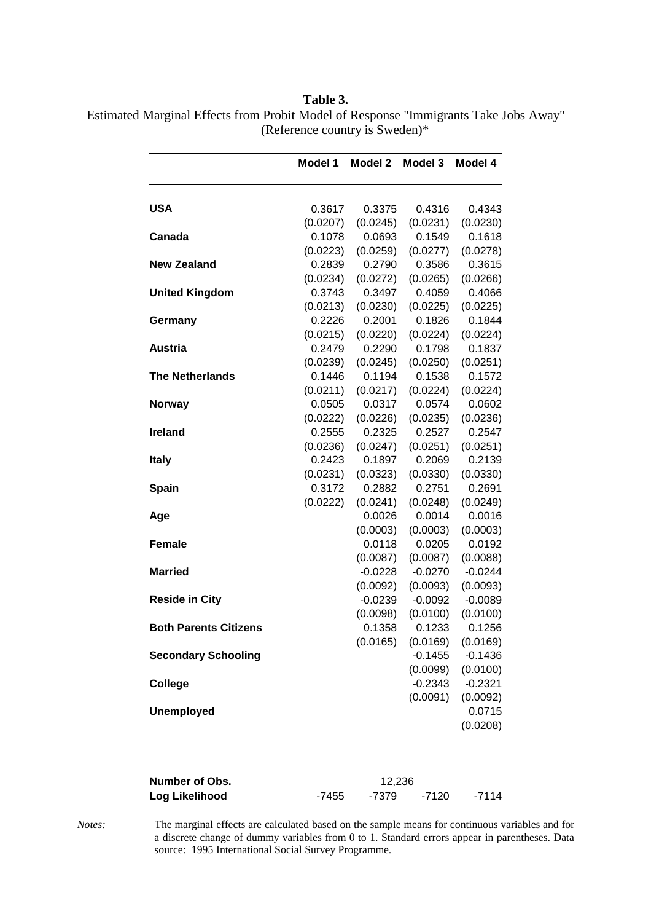| Table 3.                                                                             |
|--------------------------------------------------------------------------------------|
| Estimated Marginal Effects from Probit Model of Response "Immigrants Take Jobs Away" |
| (Reference country is Sweden) $*$                                                    |

|                              | Model 1  | Model 2   | Model 3   | Model 4   |
|------------------------------|----------|-----------|-----------|-----------|
| <b>USA</b>                   | 0.3617   | 0.3375    | 0.4316    | 0.4343    |
|                              | (0.0207) | (0.0245)  | (0.0231)  | (0.0230)  |
| Canada                       | 0.1078   | 0.0693    | 0.1549    | 0.1618    |
|                              | (0.0223) | (0.0259)  | (0.0277)  | (0.0278)  |
| <b>New Zealand</b>           | 0.2839   | 0.2790    | 0.3586    | 0.3615    |
|                              | (0.0234) | (0.0272)  | (0.0265)  | (0.0266)  |
| <b>United Kingdom</b>        | 0.3743   | 0.3497    | 0.4059    | 0.4066    |
|                              | (0.0213) | (0.0230)  | (0.0225)  | (0.0225)  |
| Germany                      | 0.2226   | 0.2001    | 0.1826    | 0.1844    |
|                              | (0.0215) | (0.0220)  | (0.0224)  | (0.0224)  |
| <b>Austria</b>               | 0.2479   | 0.2290    | 0.1798    | 0.1837    |
|                              | (0.0239) | (0.0245)  | (0.0250)  | (0.0251)  |
| <b>The Netherlands</b>       | 0.1446   | 0.1194    | 0.1538    | 0.1572    |
|                              | (0.0211) | (0.0217)  | (0.0224)  | (0.0224)  |
| <b>Norway</b>                | 0.0505   | 0.0317    | 0.0574    | 0.0602    |
|                              | (0.0222) | (0.0226)  | (0.0235)  | (0.0236)  |
| <b>Ireland</b>               | 0.2555   | 0.2325    | 0.2527    | 0.2547    |
|                              | (0.0236) | (0.0247)  | (0.0251)  | (0.0251)  |
| <b>Italy</b>                 | 0.2423   | 0.1897    | 0.2069    | 0.2139    |
|                              | (0.0231) | (0.0323)  | (0.0330)  | (0.0330)  |
| <b>Spain</b>                 | 0.3172   | 0.2882    | 0.2751    | 0.2691    |
|                              | (0.0222) | (0.0241)  | (0.0248)  | (0.0249)  |
| Age                          |          | 0.0026    | 0.0014    | 0.0016    |
|                              |          | (0.0003)  | (0.0003)  | (0.0003)  |
| <b>Female</b>                |          | 0.0118    | 0.0205    | 0.0192    |
|                              |          | (0.0087)  | (0.0087)  | (0.0088)  |
| <b>Married</b>               |          | $-0.0228$ | $-0.0270$ | $-0.0244$ |
|                              |          | (0.0092)  | (0.0093)  | (0.0093)  |
| <b>Reside in City</b>        |          | $-0.0239$ | $-0.0092$ | $-0.0089$ |
|                              |          | (0.0098)  | (0.0100)  | (0.0100)  |
| <b>Both Parents Citizens</b> |          | 0.1358    | 0.1233    | 0.1256    |
|                              |          | (0.0165)  | (0.0169)  | (0.0169)  |
| <b>Secondary Schooling</b>   |          |           | $-0.1455$ | $-0.1436$ |
|                              |          |           | (0.0099)  | (0.0100)  |
| College                      |          |           | $-0.2343$ | $-0.2321$ |
|                              |          |           | (0.0091)  | (0.0092)  |
| <b>Unemployed</b>            |          |           |           | 0.0715    |
|                              |          |           |           | (0.0208)  |
|                              |          |           |           |           |
|                              |          |           |           |           |

| Number of Obs. | 12.236            |       |
|----------------|-------------------|-------|
| Log Likelihood | -7455 -7379 -7120 | -7114 |

*Notes:* The marginal effects are calculated based on the sample means for continuous variables and for a discrete change of dummy variables from 0 to 1. Standard errors appear in parentheses. Data source: 1995 International Social Survey Programme.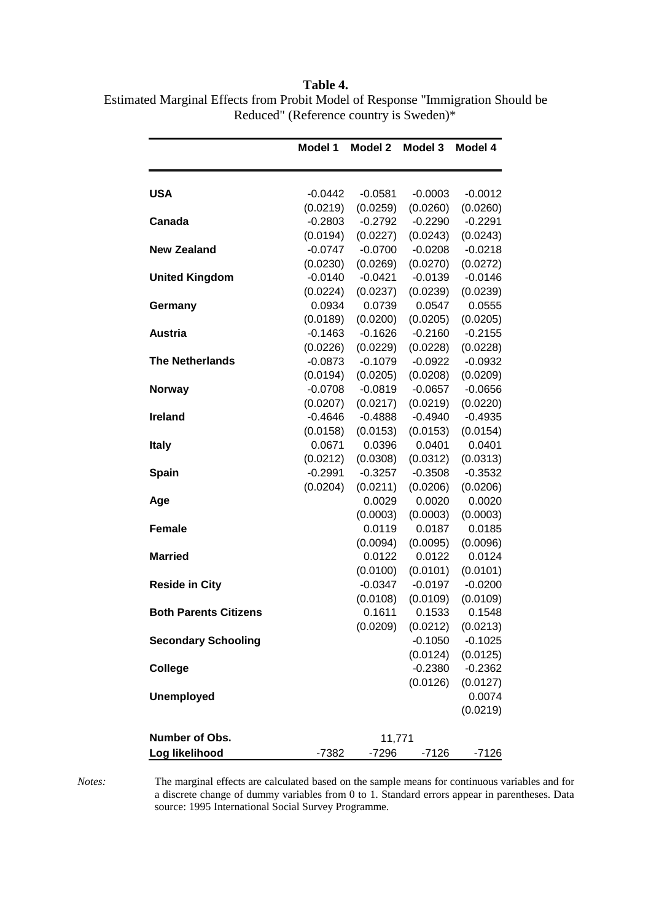**Table 4.**  Estimated Marginal Effects from Probit Model of Response "Immigration Should be Reduced" (Reference country is Sweden)\*

|                              | Model 1   | Model 2   | Model 3               | Model 4   |
|------------------------------|-----------|-----------|-----------------------|-----------|
| USA                          | $-0.0442$ | $-0.0581$ | $-0.0003$             | $-0.0012$ |
|                              | (0.0219)  | (0.0259)  | (0.0260)              | (0.0260)  |
| Canada                       | $-0.2803$ | $-0.2792$ | $-0.2290$             | $-0.2291$ |
|                              | (0.0194)  | (0.0227)  | (0.0243)              | (0.0243)  |
| <b>New Zealand</b>           | $-0.0747$ | $-0.0700$ | $-0.0208$             | $-0.0218$ |
|                              | (0.0230)  | (0.0269)  | (0.0270)              | (0.0272)  |
| <b>United Kingdom</b>        | $-0.0140$ | $-0.0421$ | $-0.0139$             | $-0.0146$ |
|                              | (0.0224)  | (0.0237)  | (0.0239)              | (0.0239)  |
| Germany                      | 0.0934    | 0.0739    | 0.0547                | 0.0555    |
|                              | (0.0189)  | (0.0200)  | (0.0205)              | (0.0205)  |
| <b>Austria</b>               | $-0.1463$ | $-0.1626$ | $-0.2160$             | $-0.2155$ |
|                              | (0.0226)  | (0.0229)  | (0.0228)              | (0.0228)  |
| <b>The Netherlands</b>       | $-0.0873$ | $-0.1079$ | $-0.0922$             | $-0.0932$ |
|                              | (0.0194)  | (0.0205)  | (0.0208)              | (0.0209)  |
| <b>Norway</b>                | $-0.0708$ | $-0.0819$ | $-0.0657$             | $-0.0656$ |
|                              | (0.0207)  | (0.0217)  | (0.0219)              | (0.0220)  |
| <b>Ireland</b>               | $-0.4646$ | $-0.4888$ | $-0.4940$             | $-0.4935$ |
|                              | (0.0158)  | (0.0153)  | (0.0153)              | (0.0154)  |
| <b>Italy</b>                 | 0.0671    | 0.0396    | 0.0401                | 0.0401    |
|                              | (0.0212)  | (0.0308)  | (0.0312)              | (0.0313)  |
| <b>Spain</b>                 | $-0.2991$ | $-0.3257$ | $-0.3508$             | $-0.3532$ |
|                              | (0.0204)  | (0.0211)  | (0.0206)              | (0.0206)  |
| Age                          |           | 0.0029    | 0.0020                | 0.0020    |
|                              |           | (0.0003)  | (0.0003)              | (0.0003)  |
| <b>Female</b>                |           | 0.0119    | 0.0187                | 0.0185    |
|                              |           | (0.0094)  | (0.0095)              | (0.0096)  |
| <b>Married</b>               |           | 0.0122    | 0.0122                | 0.0124    |
|                              |           | (0.0100)  | (0.0101)              | (0.0101)  |
| <b>Reside in City</b>        |           | $-0.0347$ | $-0.0197$             | $-0.0200$ |
|                              |           | (0.0108)  | (0.0109)              | (0.0109)  |
| <b>Both Parents Citizens</b> |           | 0.1611    | 0.1533                | 0.1548    |
|                              |           |           | $(0.0209)$ $(0.0212)$ | (0.0213)  |
| <b>Secondary Schooling</b>   |           |           | $-0.1050$             | $-0.1025$ |
|                              |           |           | (0.0124)              | (0.0125)  |
| College                      |           |           | $-0.2380$             | $-0.2362$ |
|                              |           |           | (0.0126)              | (0.0127)  |
| <b>Unemployed</b>            |           |           |                       | 0.0074    |
|                              |           |           |                       | (0.0219)  |
| Number of Obs.               |           | 11,771    |                       |           |
| Log likelihood               |           |           |                       |           |
|                              | -7382     | -7296     | -7126                 | -7126     |

*Notes:* The marginal effects are calculated based on the sample means for continuous variables and for a discrete change of dummy variables from 0 to 1. Standard errors appear in parentheses. Data source: 1995 International Social Survey Programme.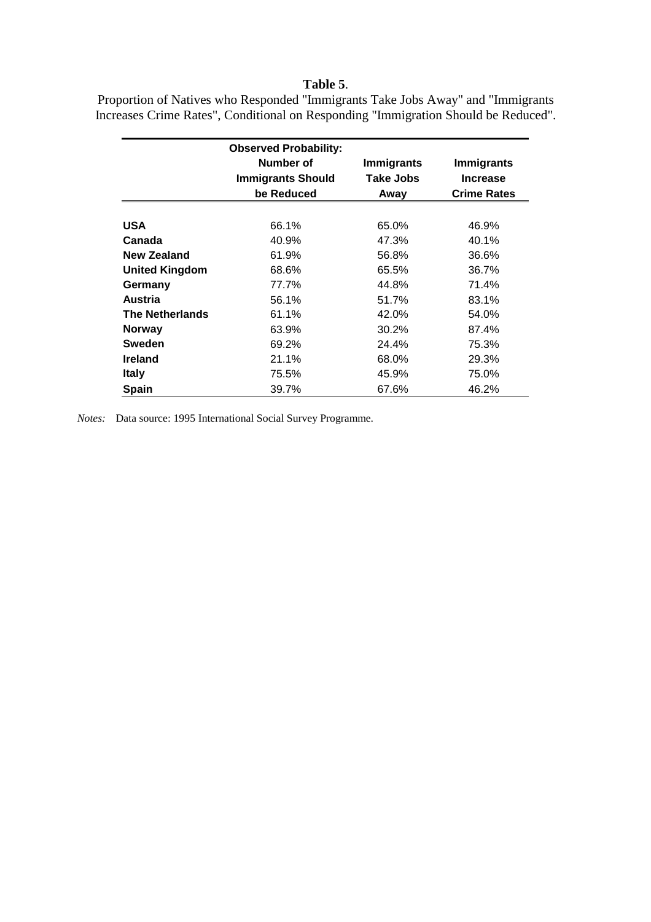#### **Table 5**.

Proportion of Natives who Responded "Immigrants Take Jobs Away" and "Immigrants Increases Crime Rates", Conditional on Responding "Immigration Should be Reduced".

|                        | <b>Observed Probability:</b>          |                                       |                                      |
|------------------------|---------------------------------------|---------------------------------------|--------------------------------------|
|                        | Number of<br><b>Immigrants Should</b> | <b>Immigrants</b><br><b>Take Jobs</b> | <b>Immigrants</b><br><b>Increase</b> |
|                        | be Reduced                            | Away                                  | <b>Crime Rates</b>                   |
|                        |                                       |                                       |                                      |
| <b>USA</b>             | 66.1%                                 | 65.0%                                 | 46.9%                                |
| Canada                 | 40.9%                                 | 47.3%                                 | 40.1%                                |
| New Zealand            | 61.9%                                 | 56.8%                                 | 36.6%                                |
| <b>United Kingdom</b>  | 68.6%                                 | 65.5%                                 | 36.7%                                |
| Germany                | 77.7%                                 | 44.8%                                 | 71.4%                                |
| <b>Austria</b>         | 56.1%                                 | 51.7%                                 | 83.1%                                |
| <b>The Netherlands</b> | 61.1%                                 | 42.0%                                 | 54.0%                                |
| <b>Norway</b>          | 63.9%                                 | 30.2%                                 | 87.4%                                |
| <b>Sweden</b>          | 69.2%                                 | 24.4%                                 | 75.3%                                |
| <b>Ireland</b>         | 21.1%                                 | 68.0%                                 | 29.3%                                |
| <b>Italy</b>           | 75.5%                                 | 45.9%                                 | 75.0%                                |
| <b>Spain</b>           | 39.7%                                 | 67.6%                                 | 46.2%                                |

*Notes:* Data source: 1995 International Social Survey Programme.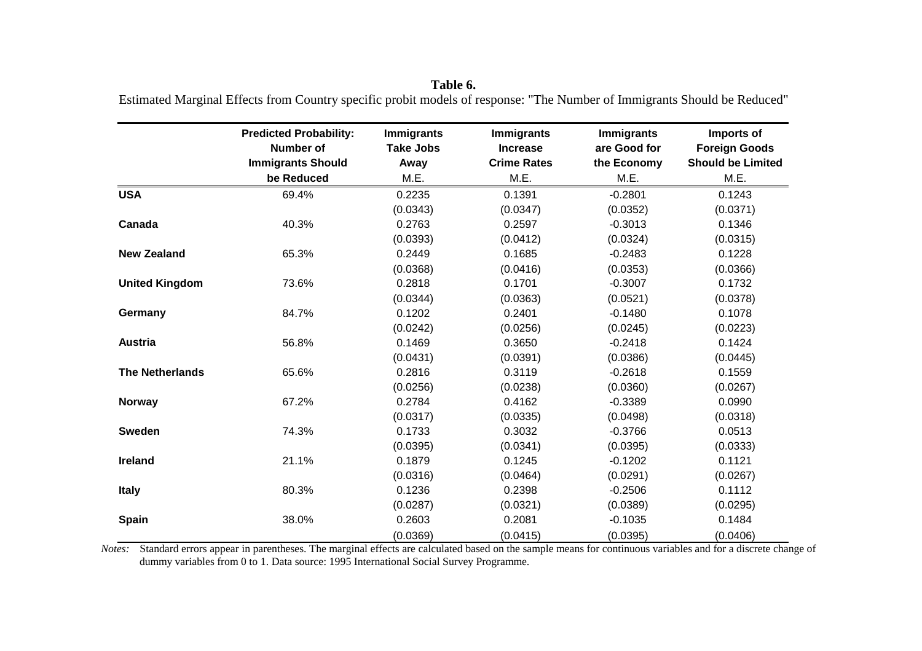|                        | <b>Predicted Probability:</b><br><b>Number of</b> | <b>Immigrants</b><br><b>Take Jobs</b> | <b>Immigrants</b><br><b>Increase</b> | <b>Immigrants</b><br>are Good for | Imports of<br><b>Foreign Goods</b> |
|------------------------|---------------------------------------------------|---------------------------------------|--------------------------------------|-----------------------------------|------------------------------------|
|                        | <b>Immigrants Should</b>                          | Away                                  | <b>Crime Rates</b>                   | the Economy                       | <b>Should be Limited</b>           |
|                        | be Reduced                                        | M.E.                                  | M.E.                                 | M.E.                              | M.E.                               |
| <b>USA</b>             | 69.4%                                             | 0.2235                                | 0.1391                               | $-0.2801$                         | 0.1243                             |
|                        |                                                   | (0.0343)                              | (0.0347)                             | (0.0352)                          | (0.0371)                           |
| Canada                 | 40.3%                                             | 0.2763                                | 0.2597                               | $-0.3013$                         | 0.1346                             |
|                        |                                                   | (0.0393)                              | (0.0412)                             | (0.0324)                          | (0.0315)                           |
| <b>New Zealand</b>     | 65.3%                                             | 0.2449                                | 0.1685                               | $-0.2483$                         | 0.1228                             |
|                        |                                                   | (0.0368)                              | (0.0416)                             | (0.0353)                          | (0.0366)                           |
| <b>United Kingdom</b>  | 73.6%                                             | 0.2818                                | 0.1701                               | $-0.3007$                         | 0.1732                             |
|                        |                                                   | (0.0344)                              | (0.0363)                             | (0.0521)                          | (0.0378)                           |
| Germany                | 84.7%                                             | 0.1202                                | 0.2401                               | $-0.1480$                         | 0.1078                             |
|                        |                                                   | (0.0242)                              | (0.0256)                             | (0.0245)                          | (0.0223)                           |
| <b>Austria</b>         | 56.8%                                             | 0.1469                                | 0.3650                               | $-0.2418$                         | 0.1424                             |
|                        |                                                   | (0.0431)                              | (0.0391)                             | (0.0386)                          | (0.0445)                           |
| <b>The Netherlands</b> | 65.6%                                             | 0.2816                                | 0.3119                               | $-0.2618$                         | 0.1559                             |
|                        |                                                   | (0.0256)                              | (0.0238)                             | (0.0360)                          | (0.0267)                           |
| <b>Norway</b>          | 67.2%                                             | 0.2784                                | 0.4162                               | $-0.3389$                         | 0.0990                             |
|                        |                                                   | (0.0317)                              | (0.0335)                             | (0.0498)                          | (0.0318)                           |
| <b>Sweden</b>          | 74.3%                                             | 0.1733                                | 0.3032                               | $-0.3766$                         | 0.0513                             |
|                        |                                                   | (0.0395)                              | (0.0341)                             | (0.0395)                          | (0.0333)                           |
| Ireland                | 21.1%                                             | 0.1879                                | 0.1245                               | $-0.1202$                         | 0.1121                             |
|                        |                                                   | (0.0316)                              | (0.0464)                             | (0.0291)                          | (0.0267)                           |
| <b>Italy</b>           | 80.3%                                             | 0.1236                                | 0.2398                               | $-0.2506$                         | 0.1112                             |
|                        |                                                   | (0.0287)                              | (0.0321)                             | (0.0389)                          | (0.0295)                           |
| <b>Spain</b>           | 38.0%                                             | 0.2603                                | 0.2081                               | $-0.1035$                         | 0.1484                             |
|                        |                                                   | (0.0369)                              | (0.0415)                             | (0.0395)                          | (0.0406)                           |

**Table 6.**  Estimated Marginal Effects from Country specific probit models of response: "The Number of Immigrants Should be Reduced"

*Notes:* Standard errors appear in parentheses. The marginal effects are calculated based on the sample means for continuous variables and for a discrete change of dummy variables from 0 to 1. Data source: 1995 International Social Survey Programme.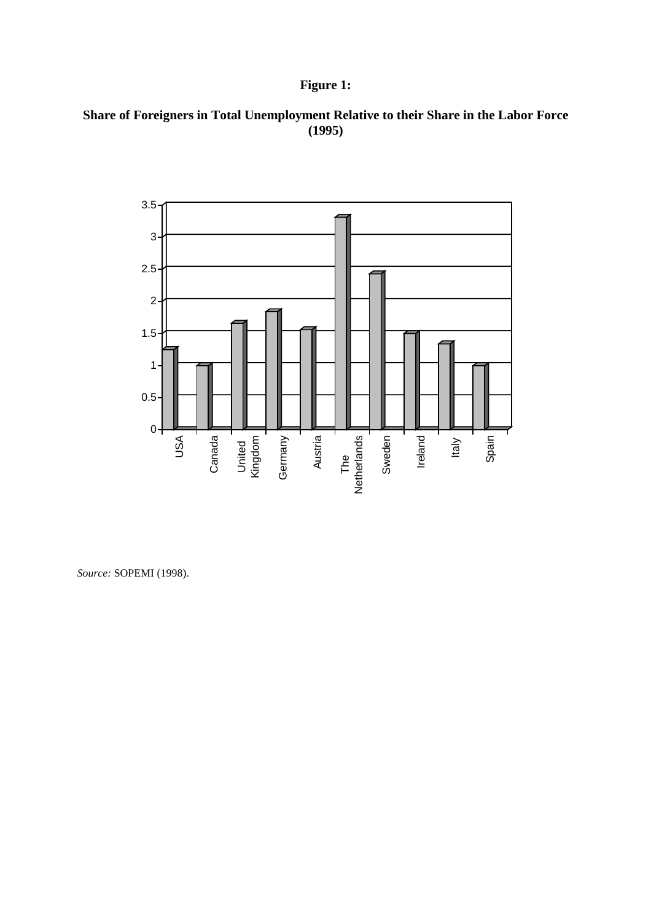### **Figure 1:**

#### **Share of Foreigners in Total Unemployment Relative to their Share in the Labor Force (1995)**



*Source:* SOPEMI (1998).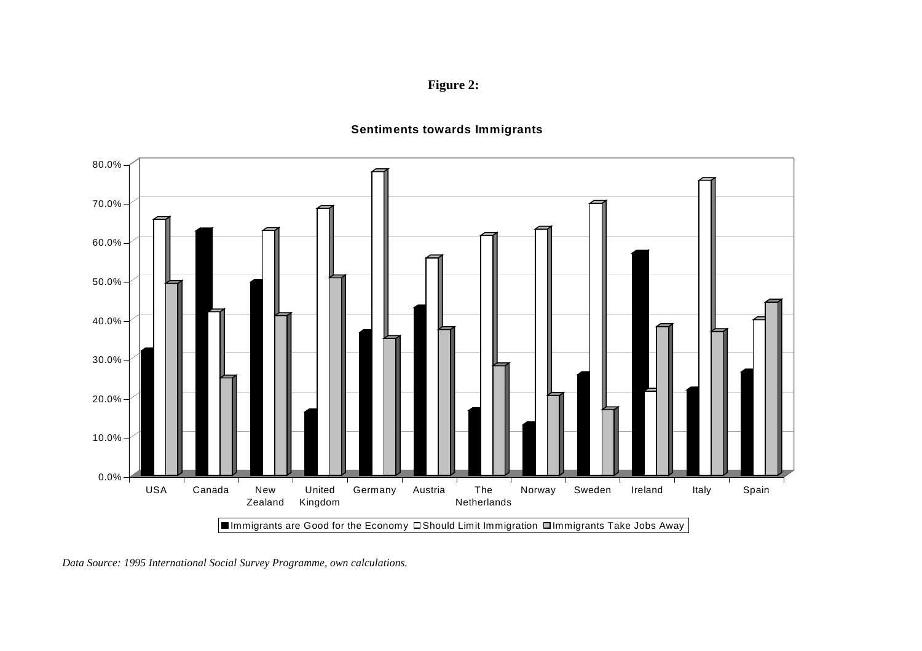**Figure 2:** 

#### **Sentiments towards Immigrants**



*Data Source: 1995 International Social Survey Programme, own calculations.*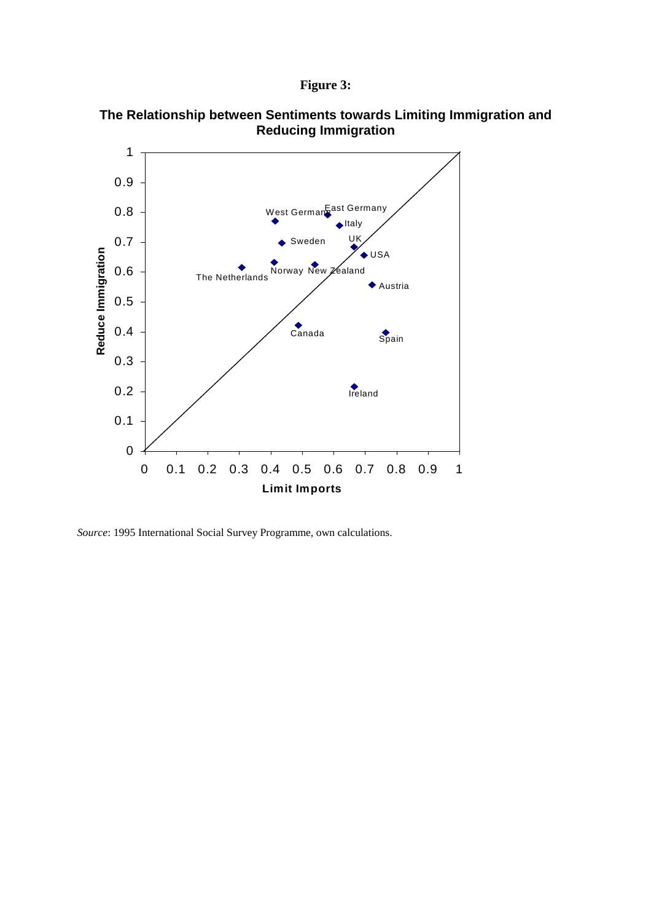```
Figure 3:
```


**The Relationship between Sentiments towards Limiting Immigration and Reducing Immigration** 

*Source*: 1995 International Social Survey Programme, own calculations.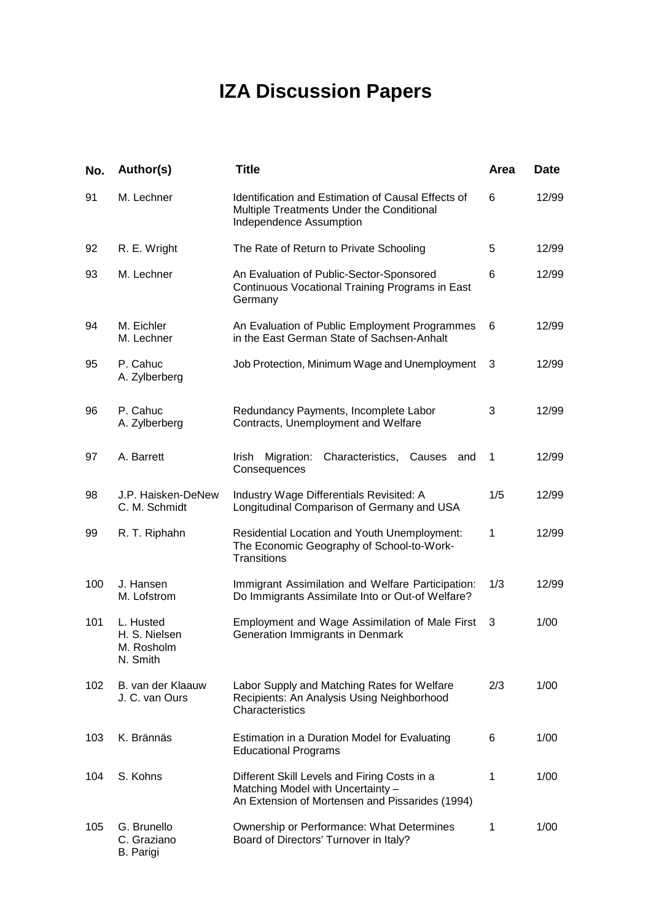# **IZA Discussion Papers**

| No. | Author(s)                                            | <b>Title</b>                                                                                                                         | <b>Area</b>  | <b>Date</b> |
|-----|------------------------------------------------------|--------------------------------------------------------------------------------------------------------------------------------------|--------------|-------------|
| 91  | M. Lechner                                           | Identification and Estimation of Causal Effects of<br>Multiple Treatments Under the Conditional<br>Independence Assumption           | 6            | 12/99       |
| 92  | R. E. Wright                                         | The Rate of Return to Private Schooling                                                                                              | 5            | 12/99       |
| 93  | M. Lechner                                           | An Evaluation of Public-Sector-Sponsored<br>Continuous Vocational Training Programs in East<br>Germany                               | 6            | 12/99       |
| 94  | M. Eichler<br>M. Lechner                             | An Evaluation of Public Employment Programmes<br>in the East German State of Sachsen-Anhalt                                          | 6            | 12/99       |
| 95  | P. Cahuc<br>A. Zylberberg                            | Job Protection, Minimum Wage and Unemployment                                                                                        | 3            | 12/99       |
| 96  | P. Cahuc<br>A. Zylberberg                            | Redundancy Payments, Incomplete Labor<br>Contracts, Unemployment and Welfare                                                         | 3            | 12/99       |
| 97  | A. Barrett                                           | Migration:<br>Characteristics,<br>Causes<br>Irish.<br>and<br>Consequences                                                            | 1            | 12/99       |
| 98  | J.P. Haisken-DeNew<br>C. M. Schmidt                  | Industry Wage Differentials Revisited: A<br>Longitudinal Comparison of Germany and USA                                               | 1/5          | 12/99       |
| 99  | R. T. Riphahn                                        | Residential Location and Youth Unemployment:<br>The Economic Geography of School-to-Work-<br>Transitions                             | $\mathbf{1}$ | 12/99       |
| 100 | J. Hansen<br>M. Lofstrom                             | Immigrant Assimilation and Welfare Participation:<br>Do Immigrants Assimilate Into or Out-of Welfare?                                | 1/3          | 12/99       |
| 101 | L. Husted<br>H. S. Nielsen<br>M. Rosholm<br>N. Smith | Employment and Wage Assimilation of Male First<br>Generation Immigrants in Denmark                                                   | 3            | 1/00        |
| 102 | B. van der Klaauw<br>J. C. van Ours                  | Labor Supply and Matching Rates for Welfare<br>Recipients: An Analysis Using Neighborhood<br>Characteristics                         | 2/3          | 1/00        |
| 103 | K. Brännäs                                           | Estimation in a Duration Model for Evaluating<br><b>Educational Programs</b>                                                         | 6            | 1/00        |
| 104 | S. Kohns                                             | Different Skill Levels and Firing Costs in a<br>Matching Model with Uncertainty -<br>An Extension of Mortensen and Pissarides (1994) | $\mathbf 1$  | 1/00        |
| 105 | G. Brunello<br>C. Graziano<br><b>B.</b> Parigi       | Ownership or Performance: What Determines<br>Board of Directors' Turnover in Italy?                                                  | $\mathbf 1$  | 1/00        |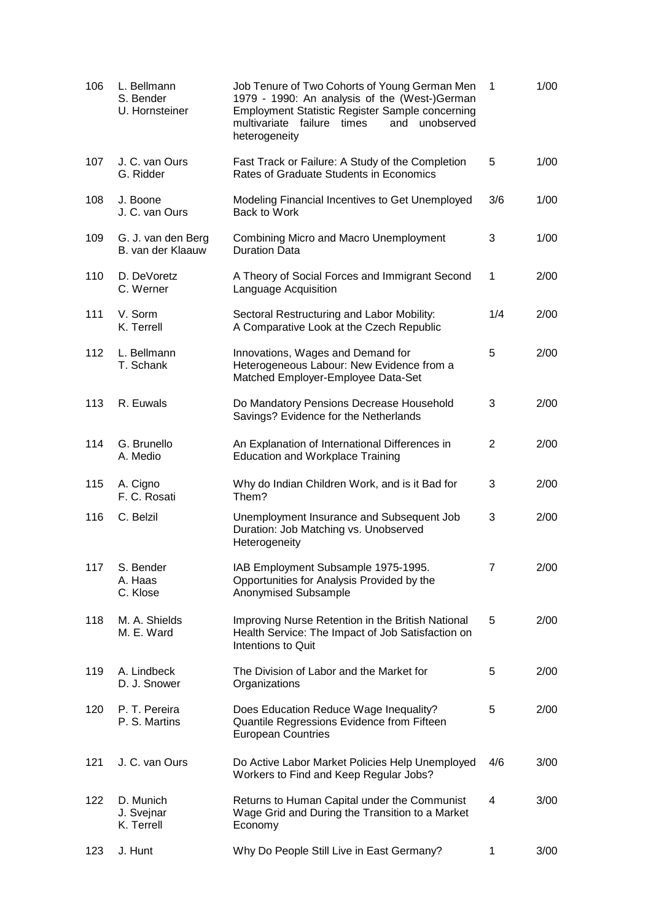| 106 | L. Bellmann<br>S. Bender<br>U. Hornsteiner | Job Tenure of Two Cohorts of Young German Men<br>1979 - 1990: An analysis of the (West-)German<br><b>Employment Statistic Register Sample concerning</b><br>multivariate failure times<br>and<br>unobserved<br>heterogeneity | 1              | 1/00 |
|-----|--------------------------------------------|------------------------------------------------------------------------------------------------------------------------------------------------------------------------------------------------------------------------------|----------------|------|
| 107 | J. C. van Ours<br>G. Ridder                | Fast Track or Failure: A Study of the Completion<br>Rates of Graduate Students in Economics                                                                                                                                  | 5              | 1/00 |
| 108 | J. Boone<br>J. C. van Ours                 | Modeling Financial Incentives to Get Unemployed<br>Back to Work                                                                                                                                                              | 3/6            | 1/00 |
| 109 | G. J. van den Berg<br>B. van der Klaauw    | Combining Micro and Macro Unemployment<br><b>Duration Data</b>                                                                                                                                                               | 3              | 1/00 |
| 110 | D. DeVoretz<br>C. Werner                   | A Theory of Social Forces and Immigrant Second<br>Language Acquisition                                                                                                                                                       | 1              | 2/00 |
| 111 | V. Sorm<br>K. Terrell                      | Sectoral Restructuring and Labor Mobility:<br>A Comparative Look at the Czech Republic                                                                                                                                       | 1/4            | 2/00 |
| 112 | L. Bellmann<br>T. Schank                   | Innovations, Wages and Demand for<br>Heterogeneous Labour: New Evidence from a<br>Matched Employer-Employee Data-Set                                                                                                         | 5              | 2/00 |
| 113 | R. Euwals                                  | Do Mandatory Pensions Decrease Household<br>Savings? Evidence for the Netherlands                                                                                                                                            | 3              | 2/00 |
| 114 | G. Brunello<br>A. Medio                    | An Explanation of International Differences in<br><b>Education and Workplace Training</b>                                                                                                                                    | $\overline{2}$ | 2/00 |
| 115 | A. Cigno<br>F. C. Rosati                   | Why do Indian Children Work, and is it Bad for<br>Them?                                                                                                                                                                      | 3              | 2/00 |
| 116 | C. Belzil                                  | Unemployment Insurance and Subsequent Job<br>Duration: Job Matching vs. Unobserved<br>Heterogeneity                                                                                                                          | 3              | 2/00 |
| 117 | S. Bender<br>A. Haas<br>C. Klose           | IAB Employment Subsample 1975-1995.<br>Opportunities for Analysis Provided by the<br>Anonymised Subsample                                                                                                                    | 7              | 2/00 |
| 118 | M. A. Shields<br>M. E. Ward                | Improving Nurse Retention in the British National<br>Health Service: The Impact of Job Satisfaction on<br>Intentions to Quit                                                                                                 | 5              | 2/00 |
| 119 | A. Lindbeck<br>D. J. Snower                | The Division of Labor and the Market for<br>Organizations                                                                                                                                                                    | 5              | 2/00 |
| 120 | P. T. Pereira<br>P. S. Martins             | Does Education Reduce Wage Inequality?<br>Quantile Regressions Evidence from Fifteen<br><b>European Countries</b>                                                                                                            | 5              | 2/00 |
| 121 | J. C. van Ours                             | Do Active Labor Market Policies Help Unemployed<br>Workers to Find and Keep Regular Jobs?                                                                                                                                    | 4/6            | 3/00 |
| 122 | D. Munich<br>J. Svejnar<br>K. Terrell      | Returns to Human Capital under the Communist<br>Wage Grid and During the Transition to a Market<br>Economy                                                                                                                   | 4              | 3/00 |
| 123 | J. Hunt                                    | Why Do People Still Live in East Germany?                                                                                                                                                                                    | 1              | 3/00 |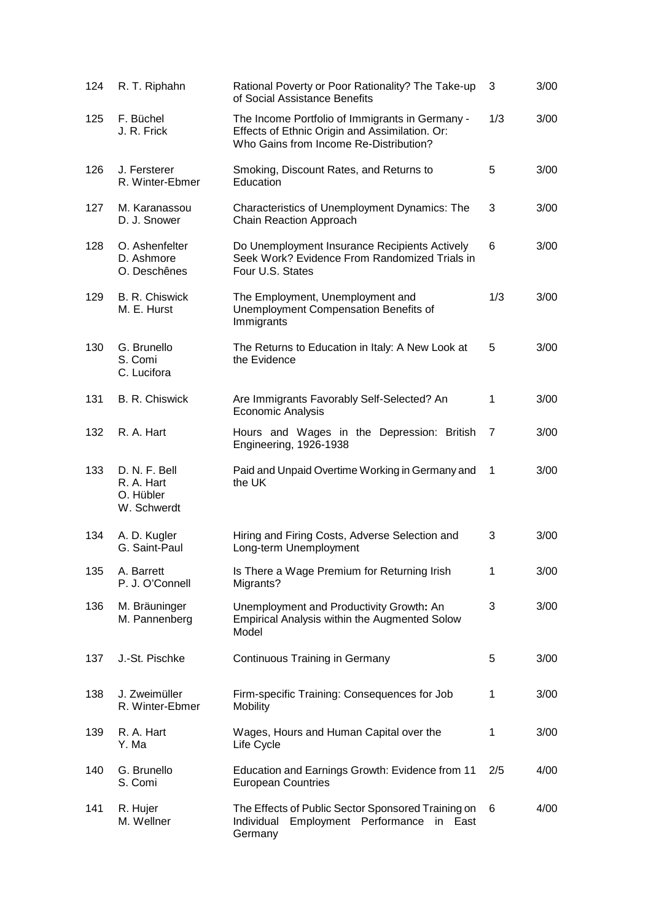| 124 | R. T. Riphahn                                           | Rational Poverty or Poor Rationality? The Take-up<br>of Social Assistance Benefits                                                          | 3            | 3/00 |
|-----|---------------------------------------------------------|---------------------------------------------------------------------------------------------------------------------------------------------|--------------|------|
| 125 | F. Büchel<br>J. R. Frick                                | The Income Portfolio of Immigrants in Germany -<br>Effects of Ethnic Origin and Assimilation. Or:<br>Who Gains from Income Re-Distribution? | 1/3          | 3/00 |
| 126 | J. Fersterer<br>R. Winter-Ebmer                         | Smoking, Discount Rates, and Returns to<br>Education                                                                                        | 5            | 3/00 |
| 127 | M. Karanassou<br>D. J. Snower                           | Characteristics of Unemployment Dynamics: The<br>Chain Reaction Approach                                                                    | 3            | 3/00 |
| 128 | O. Ashenfelter<br>D. Ashmore<br>O. Deschênes            | Do Unemployment Insurance Recipients Actively<br>Seek Work? Evidence From Randomized Trials in<br>Four U.S. States                          | 6            | 3/00 |
| 129 | B. R. Chiswick<br>M. E. Hurst                           | The Employment, Unemployment and<br>Unemployment Compensation Benefits of<br>Immigrants                                                     | 1/3          | 3/00 |
| 130 | G. Brunello<br>S. Comi<br>C. Lucifora                   | The Returns to Education in Italy: A New Look at<br>the Evidence                                                                            | 5            | 3/00 |
| 131 | B. R. Chiswick                                          | Are Immigrants Favorably Self-Selected? An<br>Economic Analysis                                                                             | 1            | 3/00 |
| 132 | R. A. Hart                                              | Hours and Wages in the Depression: British<br><b>Engineering, 1926-1938</b>                                                                 | 7            | 3/00 |
| 133 | D. N. F. Bell<br>R. A. Hart<br>O. Hübler<br>W. Schwerdt | Paid and Unpaid Overtime Working in Germany and<br>the UK                                                                                   | $\mathbf{1}$ | 3/00 |
| 134 | A. D. Kugler<br>G. Saint-Paul                           | Hiring and Firing Costs, Adverse Selection and<br>Long-term Unemployment                                                                    | 3            | 3/00 |
| 135 | A. Barrett<br>P. J. O'Connell                           | Is There a Wage Premium for Returning Irish<br>Migrants?                                                                                    | $\mathbf 1$  | 3/00 |
| 136 | M. Bräuninger<br>M. Pannenberg                          | Unemployment and Productivity Growth: An<br><b>Empirical Analysis within the Augmented Solow</b><br>Model                                   | 3            | 3/00 |
| 137 | J.-St. Pischke                                          | <b>Continuous Training in Germany</b>                                                                                                       | 5            | 3/00 |
| 138 | J. Zweimüller<br>R. Winter-Ebmer                        | Firm-specific Training: Consequences for Job<br><b>Mobility</b>                                                                             | 1            | 3/00 |
| 139 | R. A. Hart<br>Y. Ma                                     | Wages, Hours and Human Capital over the<br>Life Cycle                                                                                       | 1            | 3/00 |
| 140 | G. Brunello<br>S. Comi                                  | Education and Earnings Growth: Evidence from 11<br><b>European Countries</b>                                                                | 2/5          | 4/00 |
| 141 | R. Hujer<br>M. Wellner                                  | The Effects of Public Sector Sponsored Training on<br>Individual<br>Employment Performance in East<br>Germany                               | 6            | 4/00 |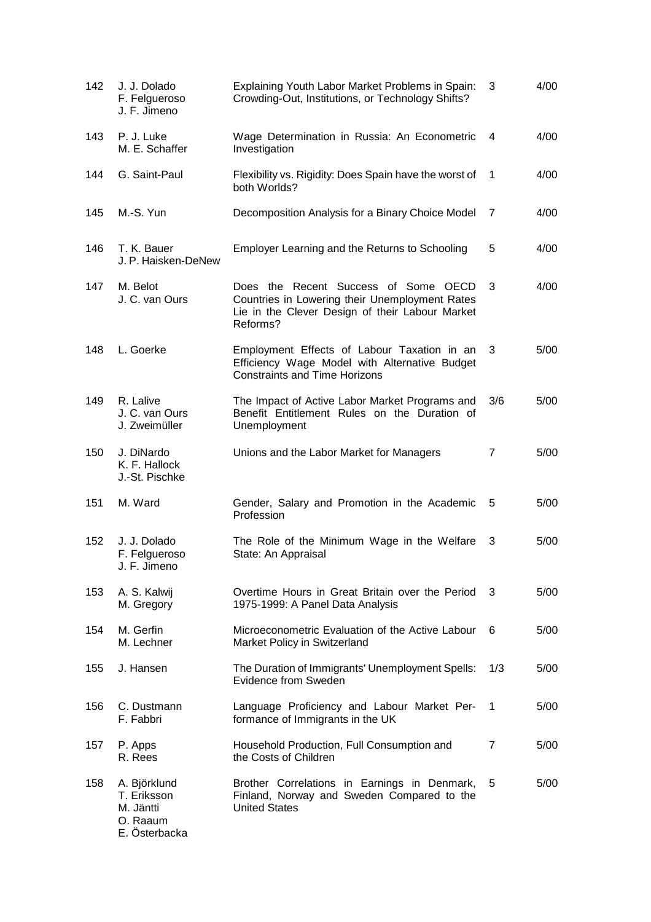| 142 | J. J. Dolado<br>F. Felgueroso<br>J. F. Jimeno                         | Explaining Youth Labor Market Problems in Spain:<br>Crowding-Out, Institutions, or Technology Shifts?                                                 | 3              | 4/00 |
|-----|-----------------------------------------------------------------------|-------------------------------------------------------------------------------------------------------------------------------------------------------|----------------|------|
| 143 | P. J. Luke<br>M. E. Schaffer                                          | Wage Determination in Russia: An Econometric<br>Investigation                                                                                         | 4              | 4/00 |
| 144 | G. Saint-Paul                                                         | Flexibility vs. Rigidity: Does Spain have the worst of<br>both Worlds?                                                                                | -1             | 4/00 |
| 145 | M.-S. Yun                                                             | Decomposition Analysis for a Binary Choice Model                                                                                                      | 7              | 4/00 |
| 146 | T. K. Bauer<br>J. P. Haisken-DeNew                                    | Employer Learning and the Returns to Schooling                                                                                                        | 5              | 4/00 |
| 147 | M. Belot<br>J. C. van Ours                                            | Does the Recent Success of Some OECD<br>Countries in Lowering their Unemployment Rates<br>Lie in the Clever Design of their Labour Market<br>Reforms? | 3              | 4/00 |
| 148 | L. Goerke                                                             | Employment Effects of Labour Taxation in an<br>Efficiency Wage Model with Alternative Budget<br><b>Constraints and Time Horizons</b>                  | 3              | 5/00 |
| 149 | R. Lalive<br>J. C. van Ours<br>J. Zweimüller                          | The Impact of Active Labor Market Programs and<br>Benefit Entitlement Rules on the Duration of<br>Unemployment                                        | 3/6            | 5/00 |
| 150 | J. DiNardo<br>K. F. Hallock<br>J.-St. Pischke                         | Unions and the Labor Market for Managers                                                                                                              | 7              | 5/00 |
| 151 | M. Ward                                                               | Gender, Salary and Promotion in the Academic<br>Profession                                                                                            | 5              | 5/00 |
| 152 | J. J. Dolado<br>F. Felgueroso<br>J. F. Jimeno                         | The Role of the Minimum Wage in the Welfare<br>State: An Appraisal                                                                                    | 3              | 5/00 |
| 153 | A. S. Kalwij<br>M. Gregory                                            | Overtime Hours in Great Britain over the Period<br>1975-1999: A Panel Data Analysis                                                                   | 3              | 5/00 |
| 154 | M. Gerfin<br>M. Lechner                                               | Microeconometric Evaluation of the Active Labour<br>Market Policy in Switzerland                                                                      | 6              | 5/00 |
| 155 | J. Hansen                                                             | The Duration of Immigrants' Unemployment Spells:<br>Evidence from Sweden                                                                              | 1/3            | 5/00 |
| 156 | C. Dustmann<br>F. Fabbri                                              | Language Proficiency and Labour Market Per-<br>formance of Immigrants in the UK                                                                       | $\mathbf 1$    | 5/00 |
| 157 | P. Apps<br>R. Rees                                                    | Household Production, Full Consumption and<br>the Costs of Children                                                                                   | $\overline{7}$ | 5/00 |
| 158 | A. Björklund<br>T. Eriksson<br>M. Jäntti<br>O. Raaum<br>E. Österbacka | Brother Correlations in Earnings in Denmark,<br>Finland, Norway and Sweden Compared to the<br><b>United States</b>                                    | 5              | 5/00 |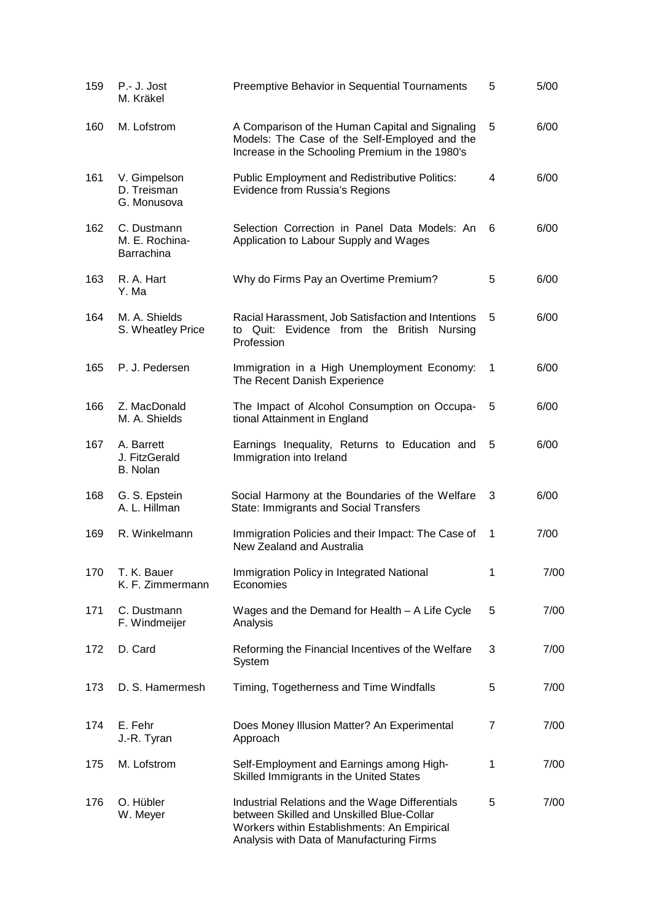| 159 | P.- J. Jost<br>M. Kräkel                    | Preemptive Behavior in Sequential Tournaments                                                                                                                                            | 5 | 5/00 |
|-----|---------------------------------------------|------------------------------------------------------------------------------------------------------------------------------------------------------------------------------------------|---|------|
| 160 | M. Lofstrom                                 | A Comparison of the Human Capital and Signaling<br>Models: The Case of the Self-Employed and the<br>Increase in the Schooling Premium in the 1980's                                      | 5 | 6/00 |
| 161 | V. Gimpelson<br>D. Treisman<br>G. Monusova  | <b>Public Employment and Redistributive Politics:</b><br>Evidence from Russia's Regions                                                                                                  | 4 | 6/00 |
| 162 | C. Dustmann<br>M. E. Rochina-<br>Barrachina | Selection Correction in Panel Data Models: An<br>Application to Labour Supply and Wages                                                                                                  | 6 | 6/00 |
| 163 | R. A. Hart<br>Y. Ma                         | Why do Firms Pay an Overtime Premium?                                                                                                                                                    | 5 | 6/00 |
| 164 | M. A. Shields<br>S. Wheatley Price          | Racial Harassment, Job Satisfaction and Intentions<br>Quit: Evidence from the British Nursing<br>to<br>Profession                                                                        | 5 | 6/00 |
| 165 | P. J. Pedersen                              | Immigration in a High Unemployment Economy:<br>The Recent Danish Experience                                                                                                              | 1 | 6/00 |
| 166 | Z. MacDonald<br>M. A. Shields               | The Impact of Alcohol Consumption on Occupa-<br>tional Attainment in England                                                                                                             | 5 | 6/00 |
| 167 | A. Barrett<br>J. FitzGerald<br>B. Nolan     | Earnings Inequality, Returns to Education and<br>Immigration into Ireland                                                                                                                | 5 | 6/00 |
| 168 | G. S. Epstein<br>A. L. Hillman              | Social Harmony at the Boundaries of the Welfare<br>State: Immigrants and Social Transfers                                                                                                | 3 | 6/00 |
| 169 | R. Winkelmann                               | Immigration Policies and their Impact: The Case of<br>New Zealand and Australia                                                                                                          | 1 | 7/00 |
| 170 | T. K. Bauer<br>K. F. Zimmermann             | Immigration Policy in Integrated National<br>Economies                                                                                                                                   | 1 | 7/00 |
| 171 | C. Dustmann<br>F. Windmeijer                | Wages and the Demand for Health - A Life Cycle<br>Analysis                                                                                                                               | 5 | 7/00 |
| 172 | D. Card                                     | Reforming the Financial Incentives of the Welfare<br>System                                                                                                                              | 3 | 7/00 |
| 173 | D. S. Hamermesh                             | Timing, Togetherness and Time Windfalls                                                                                                                                                  | 5 | 7/00 |
| 174 | E. Fehr<br>J.-R. Tyran                      | Does Money Illusion Matter? An Experimental<br>Approach                                                                                                                                  | 7 | 7/00 |
| 175 | M. Lofstrom                                 | Self-Employment and Earnings among High-<br>Skilled Immigrants in the United States                                                                                                      | 1 | 7/00 |
| 176 | O. Hübler<br>W. Meyer                       | Industrial Relations and the Wage Differentials<br>between Skilled and Unskilled Blue-Collar<br>Workers within Establishments: An Empirical<br>Analysis with Data of Manufacturing Firms | 5 | 7/00 |